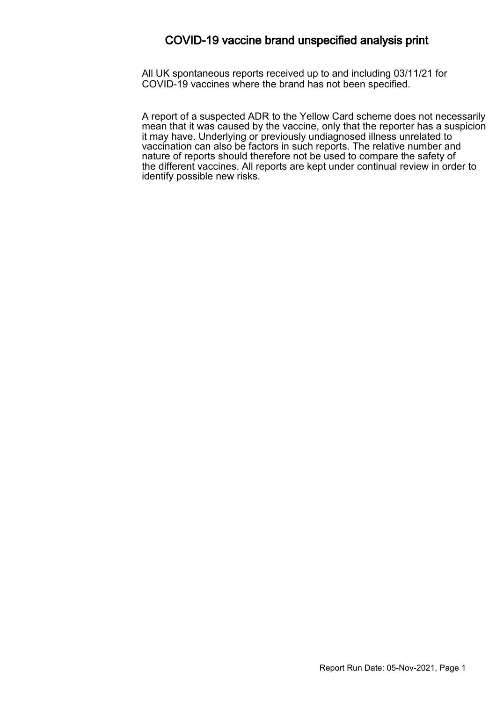### COVID-19 vaccine brand unspecified analysis print

All UK spontaneous reports received up to and including 03/11/21 for COVID-19 vaccines where the brand has not been specified.

A report of a suspected ADR to the Yellow Card scheme does not necessarily mean that it was caused by the vaccine, only that the reporter has a suspicion it may have. Underlying or previously undiagnosed illness unrelated to vaccination can also be factors in such reports. The relative number and nature of reports should therefore not be used to compare the safety of the different vaccines. All reports are kept under continual review in order to identify possible new risks.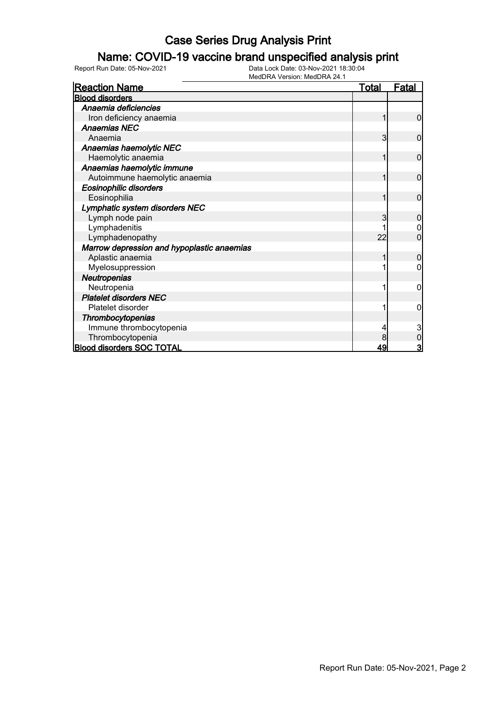### Name: COVID-19 vaccine brand unspecified analysis print

| <b>Reaction Name</b>                       | <u>Total</u> | <u>Fatal</u>            |
|--------------------------------------------|--------------|-------------------------|
| <b>Blood disorders</b>                     |              |                         |
| Anaemia deficiencies                       |              |                         |
| Iron deficiency anaemia                    |              | 0                       |
| <b>Anaemias NEC</b>                        |              |                         |
| Anaemia                                    | 3            | $\mathbf{0}$            |
| Anaemias haemolytic NEC                    |              |                         |
| Haemolytic anaemia                         |              | $\mathbf{0}$            |
| Anaemias haemolytic immune                 |              |                         |
| Autoimmune haemolytic anaemia              | 1            | 0                       |
| <b>Eosinophilic disorders</b>              |              |                         |
| Eosinophilia                               |              | $\mathbf 0$             |
| Lymphatic system disorders NEC             |              |                         |
| Lymph node pain                            | 3            | 0                       |
| Lymphadenitis                              |              |                         |
| Lymphadenopathy                            | 22           | 0                       |
| Marrow depression and hypoplastic anaemias |              |                         |
| Aplastic anaemia                           |              | 0                       |
| Myelosuppression                           |              |                         |
| <b>Neutropenias</b>                        |              |                         |
| Neutropenia                                |              | 0                       |
| <b>Platelet disorders NEC</b>              |              |                         |
| Platelet disorder                          |              | 0                       |
| Thrombocytopenias                          |              |                         |
| Immune thrombocytopenia                    |              | 3                       |
| Thrombocytopenia                           |              | 0                       |
| <b>Blood disorders SOC TOTAL</b>           | 49           | $\overline{\mathbf{3}}$ |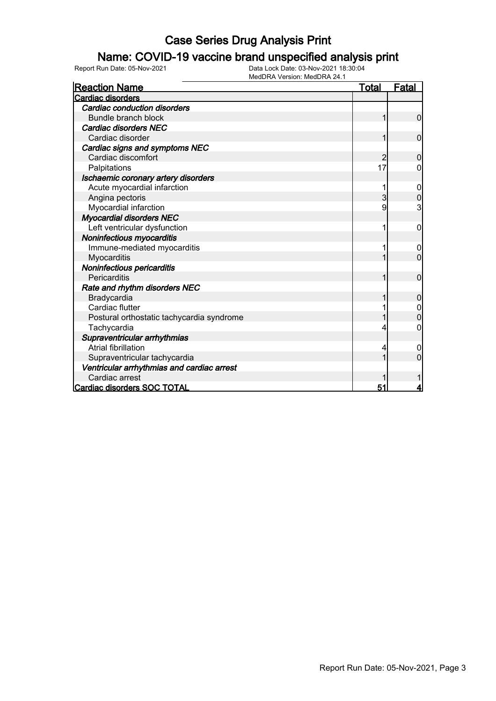### Name: COVID-19 vaccine brand unspecified analysis print

Report Run Date: 05-Nov-2021 Data Lock Date: 03-Nov-2021 18:30:04

MedDRA Version: MedDRA 24.1

| <b>Reaction Name</b>                       | <b>Total</b> | <b>Fatal</b>   |
|--------------------------------------------|--------------|----------------|
| <b>Cardiac disorders</b>                   |              |                |
| Cardiac conduction disorders               |              |                |
| Bundle branch block                        | 1            | $\mathbf 0$    |
| Cardiac disorders NEC                      |              |                |
| Cardiac disorder                           |              | $\mathbf 0$    |
| Cardiac signs and symptoms NEC             |              |                |
| Cardiac discomfort                         | 2            | $\mathbf 0$    |
| Palpitations                               | 17           | 0              |
| Ischaemic coronary artery disorders        |              |                |
| Acute myocardial infarction                |              | 0              |
| Angina pectoris                            | 3            | $\overline{0}$ |
| Myocardial infarction                      | 9            | 3              |
| <b>Myocardial disorders NEC</b>            |              |                |
| Left ventricular dysfunction               |              | 0              |
| Noninfectious myocarditis                  |              |                |
| Immune-mediated myocarditis                |              |                |
| Myocarditis                                |              | $\overline{0}$ |
| Noninfectious pericarditis                 |              |                |
| Pericarditis                               | 1            | $\mathbf 0$    |
| Rate and rhythm disorders NEC              |              |                |
| Bradycardia                                |              | $\mathbf 0$    |
| Cardiac flutter                            |              |                |
| Postural orthostatic tachycardia syndrome  |              | $\mathbf 0$    |
| Tachycardia                                |              | 0              |
| Supraventricular arrhythmias               |              |                |
| Atrial fibrillation                        |              | 0              |
| Supraventricular tachycardia               |              | 0              |
| Ventricular arrhythmias and cardiac arrest |              |                |
| Cardiac arrest                             |              |                |
| <b>Cardiac disorders SOC TOTAL</b>         | 51           | 4              |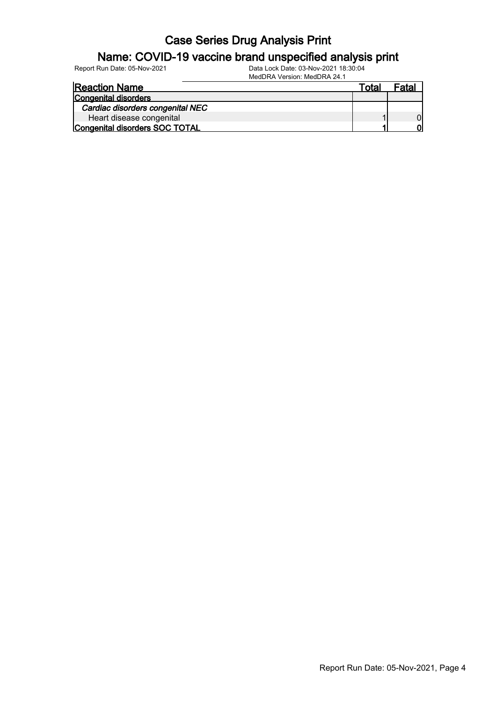### Name: COVID-19 vaccine brand unspecified analysis print

Report Run Date: 05-Nov-2021 Data Lock Date: 03-Nov-2021 18:30:04

| <b>Reaction Name</b>             | ™otal | Fatal |
|----------------------------------|-------|-------|
| Congenital disorders             |       |       |
| Cardiac disorders congenital NEC |       |       |
| Heart disease congenital         |       |       |
| Congenital disorders SOC TOTAL   |       |       |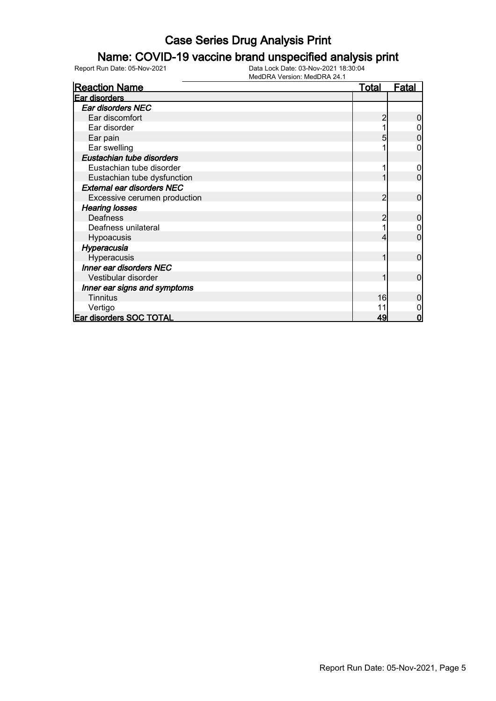### Name: COVID-19 vaccine brand unspecified analysis print

| <b>Reaction Name</b>              | <u>Total</u> | <b>Fatal</b> |
|-----------------------------------|--------------|--------------|
| <b>Ear disorders</b>              |              |              |
| Ear disorders NEC                 |              |              |
| Ear discomfort                    |              |              |
| Ear disorder                      |              |              |
| Ear pain                          |              |              |
| Ear swelling                      |              |              |
| Eustachian tube disorders         |              |              |
| Eustachian tube disorder          |              | 0            |
| Eustachian tube dysfunction       |              | 0            |
| <b>External ear disorders NEC</b> |              |              |
| Excessive cerumen production      | 2            | 0            |
| <b>Hearing losses</b>             |              |              |
| <b>Deafness</b>                   |              | 0            |
| Deafness unilateral               |              |              |
| Hypoacusis                        |              | 0            |
| Hyperacusia                       |              |              |
| Hyperacusis                       |              | 0            |
| Inner ear disorders NEC           |              |              |
| Vestibular disorder               |              | $\Omega$     |
| Inner ear signs and symptoms      |              |              |
| <b>Tinnitus</b>                   | 16           | 0            |
| Vertigo                           | 11           |              |
| <b>Ear disorders SOC TOTAL</b>    | 49           | 0            |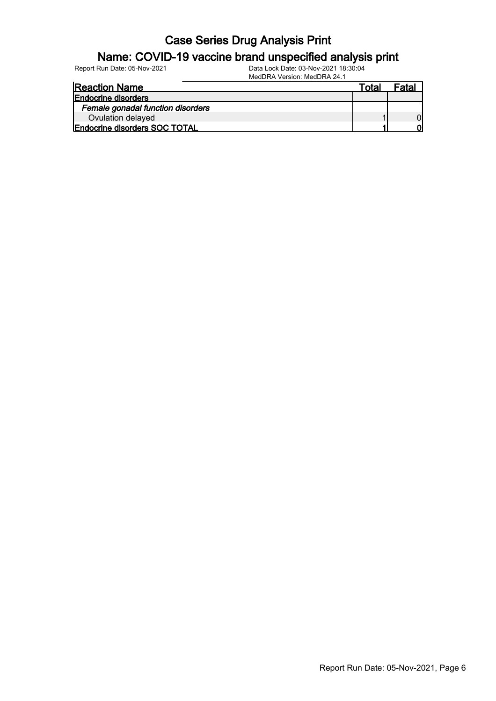### Name: COVID-19 vaccine brand unspecified analysis print

| <b>Reaction Name</b>              | Total | Fatal |
|-----------------------------------|-------|-------|
| <b>Endocrine disorders</b>        |       |       |
| Female gonadal function disorders |       |       |
| Ovulation delayed                 |       |       |
| Endocrine disorders SOC TOTAL     |       |       |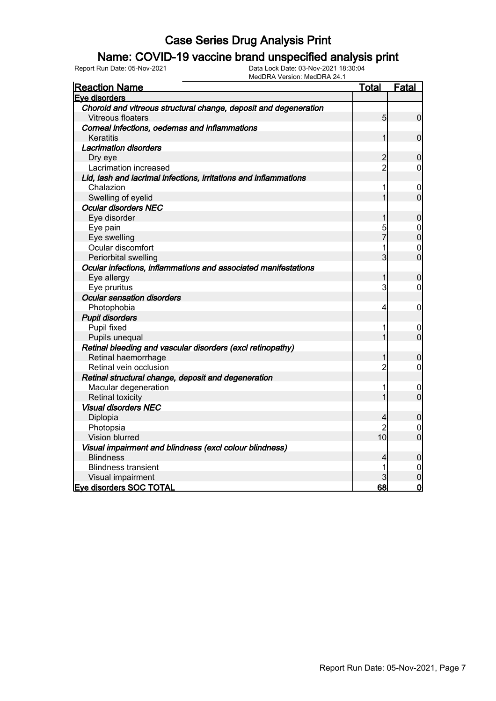### Name: COVID-19 vaccine brand unspecified analysis print

| <b>Reaction Name</b>                                             | <u>Total</u>    | Fatal            |
|------------------------------------------------------------------|-----------------|------------------|
| Eve disorders                                                    |                 |                  |
| Choroid and vitreous structural change, deposit and degeneration |                 |                  |
| Vitreous floaters                                                | $5\overline{)}$ | $\overline{0}$   |
| Corneal infections, oedemas and inflammations                    |                 |                  |
| Keratitis                                                        | $\mathbf 1$     | $\mathbf 0$      |
| <b>Lacrimation disorders</b>                                     |                 |                  |
| Dry eye                                                          | $\overline{c}$  | $\mathbf 0$      |
| Lacrimation increased                                            | $\overline{2}$  | $\mathbf 0$      |
| Lid, lash and lacrimal infections, irritations and inflammations |                 |                  |
| Chalazion                                                        | 1               | 0                |
| Swelling of eyelid                                               | 1               | $\mathbf 0$      |
| <b>Ocular disorders NEC</b>                                      |                 |                  |
| Eye disorder                                                     | 1               | $\overline{0}$   |
| Eye pain                                                         | 5               | $\mathbf 0$      |
| Eye swelling                                                     | $\overline{7}$  | $\overline{0}$   |
| Ocular discomfort                                                | 1               | 0                |
| Periorbital swelling                                             | 3               | $\overline{0}$   |
| Ocular infections, inflammations and associated manifestations   |                 |                  |
| Eye allergy                                                      | 1               | $\boldsymbol{0}$ |
| Eye pruritus                                                     | 3               | $\overline{0}$   |
| <b>Ocular sensation disorders</b>                                |                 |                  |
| Photophobia                                                      | 4               | 0                |
| <b>Pupil disorders</b>                                           |                 |                  |
| Pupil fixed                                                      | 1               | 0                |
| Pupils unequal                                                   | 1               | $\mathbf 0$      |
| Retinal bleeding and vascular disorders (excl retinopathy)       |                 |                  |
| Retinal haemorrhage                                              | 1               | 0                |
| Retinal vein occlusion                                           | $\overline{c}$  | $\overline{0}$   |
| Retinal structural change, deposit and degeneration              |                 |                  |
| Macular degeneration                                             | 1               | $\mathbf 0$      |
| <b>Retinal toxicity</b>                                          | 1               | $\overline{0}$   |
| <b>Visual disorders NEC</b>                                      |                 |                  |
| Diplopia                                                         | 4               | $\boldsymbol{0}$ |
| Photopsia                                                        | $\overline{c}$  | 0                |
| Vision blurred                                                   | 10 <sub>l</sub> | $\overline{0}$   |
| Visual impairment and blindness (excl colour blindness)          |                 |                  |
| <b>Blindness</b>                                                 | 4               | $\boldsymbol{0}$ |
| <b>Blindness transient</b>                                       | 1               | 0                |
| Visual impairment                                                |                 | $\mathbf 0$      |
| <b>Eve disorders SOC TOTAL</b>                                   | 68              | $\mathbf 0$      |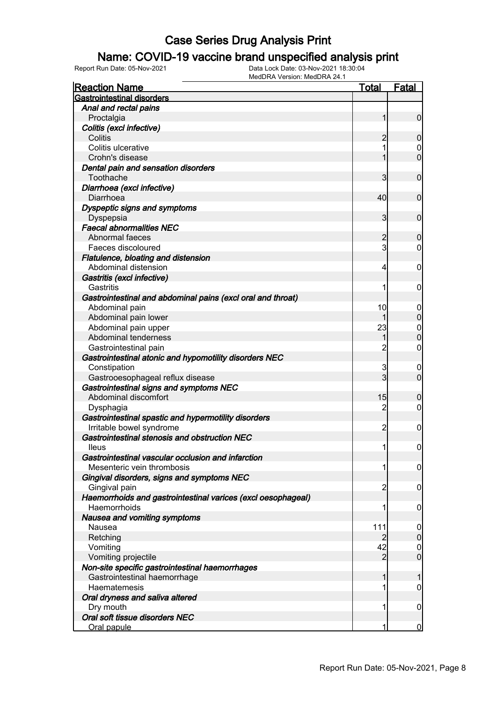### Name: COVID-19 vaccine brand unspecified analysis print

| <b>Gastrointestinal disorders</b><br>Anal and rectal pains<br>Proctalgia<br>1<br>$\mathbf 0$<br>Colitis (excl infective)<br>Colitis<br>2<br>0<br>1<br>Colitis ulcerative<br>$\mathbf 0$<br>$\overline{0}$<br>Crohn's disease<br>1<br>Dental pain and sensation disorders<br>Toothache<br>3<br>$\mathbf 0$<br>Diarrhoea (excl infective)<br>40<br>$\mathbf 0$<br>Diarrhoea<br>Dyspeptic signs and symptoms<br>$\mathbf{3}$<br>$\mathbf 0$<br>Dyspepsia<br><b>Faecal abnormalities NEC</b><br>Abnormal faeces<br>$\mathbf 0$<br>2<br>$\mathbf{3}$<br>Faeces discoloured<br>$\mathbf 0$<br>Flatulence, bloating and distension<br>Abdominal distension<br>4<br>0<br>Gastritis (excl infective)<br>Gastritis<br>1<br>0<br>Gastrointestinal and abdominal pains (excl oral and throat)<br>10<br>Abdominal pain<br>0<br>$\mathbf 0$<br>Abdominal pain lower<br>1<br>23<br>Abdominal pain upper<br>$\mathbf 0$<br>$\overline{0}$<br>Abdominal tenderness<br>1<br>$\overline{2}$<br>$\mathbf 0$<br>Gastrointestinal pain<br>Gastrointestinal atonic and hypomotility disorders NEC<br>3<br>Constipation<br>$\mathbf 0$<br>3<br>$\mathbf 0$<br>Gastrooesophageal reflux disease<br>Gastrointestinal signs and symptoms NEC<br>Abdominal discomfort<br>15<br>0<br>$\overline{2}$<br>$\mathbf 0$<br>Dysphagia<br>Gastrointestinal spastic and hypermotility disorders<br>Irritable bowel syndrome<br>2<br>0<br>Gastrointestinal stenosis and obstruction NEC |
|---------------------------------------------------------------------------------------------------------------------------------------------------------------------------------------------------------------------------------------------------------------------------------------------------------------------------------------------------------------------------------------------------------------------------------------------------------------------------------------------------------------------------------------------------------------------------------------------------------------------------------------------------------------------------------------------------------------------------------------------------------------------------------------------------------------------------------------------------------------------------------------------------------------------------------------------------------------------------------------------------------------------------------------------------------------------------------------------------------------------------------------------------------------------------------------------------------------------------------------------------------------------------------------------------------------------------------------------------------------------------------------------------------------------------------------------------|
|                                                                                                                                                                                                                                                                                                                                                                                                                                                                                                                                                                                                                                                                                                                                                                                                                                                                                                                                                                                                                                                                                                                                                                                                                                                                                                                                                                                                                                                   |
|                                                                                                                                                                                                                                                                                                                                                                                                                                                                                                                                                                                                                                                                                                                                                                                                                                                                                                                                                                                                                                                                                                                                                                                                                                                                                                                                                                                                                                                   |
|                                                                                                                                                                                                                                                                                                                                                                                                                                                                                                                                                                                                                                                                                                                                                                                                                                                                                                                                                                                                                                                                                                                                                                                                                                                                                                                                                                                                                                                   |
|                                                                                                                                                                                                                                                                                                                                                                                                                                                                                                                                                                                                                                                                                                                                                                                                                                                                                                                                                                                                                                                                                                                                                                                                                                                                                                                                                                                                                                                   |
|                                                                                                                                                                                                                                                                                                                                                                                                                                                                                                                                                                                                                                                                                                                                                                                                                                                                                                                                                                                                                                                                                                                                                                                                                                                                                                                                                                                                                                                   |
|                                                                                                                                                                                                                                                                                                                                                                                                                                                                                                                                                                                                                                                                                                                                                                                                                                                                                                                                                                                                                                                                                                                                                                                                                                                                                                                                                                                                                                                   |
|                                                                                                                                                                                                                                                                                                                                                                                                                                                                                                                                                                                                                                                                                                                                                                                                                                                                                                                                                                                                                                                                                                                                                                                                                                                                                                                                                                                                                                                   |
|                                                                                                                                                                                                                                                                                                                                                                                                                                                                                                                                                                                                                                                                                                                                                                                                                                                                                                                                                                                                                                                                                                                                                                                                                                                                                                                                                                                                                                                   |
|                                                                                                                                                                                                                                                                                                                                                                                                                                                                                                                                                                                                                                                                                                                                                                                                                                                                                                                                                                                                                                                                                                                                                                                                                                                                                                                                                                                                                                                   |
|                                                                                                                                                                                                                                                                                                                                                                                                                                                                                                                                                                                                                                                                                                                                                                                                                                                                                                                                                                                                                                                                                                                                                                                                                                                                                                                                                                                                                                                   |
|                                                                                                                                                                                                                                                                                                                                                                                                                                                                                                                                                                                                                                                                                                                                                                                                                                                                                                                                                                                                                                                                                                                                                                                                                                                                                                                                                                                                                                                   |
|                                                                                                                                                                                                                                                                                                                                                                                                                                                                                                                                                                                                                                                                                                                                                                                                                                                                                                                                                                                                                                                                                                                                                                                                                                                                                                                                                                                                                                                   |
|                                                                                                                                                                                                                                                                                                                                                                                                                                                                                                                                                                                                                                                                                                                                                                                                                                                                                                                                                                                                                                                                                                                                                                                                                                                                                                                                                                                                                                                   |
|                                                                                                                                                                                                                                                                                                                                                                                                                                                                                                                                                                                                                                                                                                                                                                                                                                                                                                                                                                                                                                                                                                                                                                                                                                                                                                                                                                                                                                                   |
|                                                                                                                                                                                                                                                                                                                                                                                                                                                                                                                                                                                                                                                                                                                                                                                                                                                                                                                                                                                                                                                                                                                                                                                                                                                                                                                                                                                                                                                   |
|                                                                                                                                                                                                                                                                                                                                                                                                                                                                                                                                                                                                                                                                                                                                                                                                                                                                                                                                                                                                                                                                                                                                                                                                                                                                                                                                                                                                                                                   |
|                                                                                                                                                                                                                                                                                                                                                                                                                                                                                                                                                                                                                                                                                                                                                                                                                                                                                                                                                                                                                                                                                                                                                                                                                                                                                                                                                                                                                                                   |
|                                                                                                                                                                                                                                                                                                                                                                                                                                                                                                                                                                                                                                                                                                                                                                                                                                                                                                                                                                                                                                                                                                                                                                                                                                                                                                                                                                                                                                                   |
|                                                                                                                                                                                                                                                                                                                                                                                                                                                                                                                                                                                                                                                                                                                                                                                                                                                                                                                                                                                                                                                                                                                                                                                                                                                                                                                                                                                                                                                   |
|                                                                                                                                                                                                                                                                                                                                                                                                                                                                                                                                                                                                                                                                                                                                                                                                                                                                                                                                                                                                                                                                                                                                                                                                                                                                                                                                                                                                                                                   |
|                                                                                                                                                                                                                                                                                                                                                                                                                                                                                                                                                                                                                                                                                                                                                                                                                                                                                                                                                                                                                                                                                                                                                                                                                                                                                                                                                                                                                                                   |
|                                                                                                                                                                                                                                                                                                                                                                                                                                                                                                                                                                                                                                                                                                                                                                                                                                                                                                                                                                                                                                                                                                                                                                                                                                                                                                                                                                                                                                                   |
|                                                                                                                                                                                                                                                                                                                                                                                                                                                                                                                                                                                                                                                                                                                                                                                                                                                                                                                                                                                                                                                                                                                                                                                                                                                                                                                                                                                                                                                   |
|                                                                                                                                                                                                                                                                                                                                                                                                                                                                                                                                                                                                                                                                                                                                                                                                                                                                                                                                                                                                                                                                                                                                                                                                                                                                                                                                                                                                                                                   |
|                                                                                                                                                                                                                                                                                                                                                                                                                                                                                                                                                                                                                                                                                                                                                                                                                                                                                                                                                                                                                                                                                                                                                                                                                                                                                                                                                                                                                                                   |
|                                                                                                                                                                                                                                                                                                                                                                                                                                                                                                                                                                                                                                                                                                                                                                                                                                                                                                                                                                                                                                                                                                                                                                                                                                                                                                                                                                                                                                                   |
|                                                                                                                                                                                                                                                                                                                                                                                                                                                                                                                                                                                                                                                                                                                                                                                                                                                                                                                                                                                                                                                                                                                                                                                                                                                                                                                                                                                                                                                   |
|                                                                                                                                                                                                                                                                                                                                                                                                                                                                                                                                                                                                                                                                                                                                                                                                                                                                                                                                                                                                                                                                                                                                                                                                                                                                                                                                                                                                                                                   |
|                                                                                                                                                                                                                                                                                                                                                                                                                                                                                                                                                                                                                                                                                                                                                                                                                                                                                                                                                                                                                                                                                                                                                                                                                                                                                                                                                                                                                                                   |
|                                                                                                                                                                                                                                                                                                                                                                                                                                                                                                                                                                                                                                                                                                                                                                                                                                                                                                                                                                                                                                                                                                                                                                                                                                                                                                                                                                                                                                                   |
|                                                                                                                                                                                                                                                                                                                                                                                                                                                                                                                                                                                                                                                                                                                                                                                                                                                                                                                                                                                                                                                                                                                                                                                                                                                                                                                                                                                                                                                   |
|                                                                                                                                                                                                                                                                                                                                                                                                                                                                                                                                                                                                                                                                                                                                                                                                                                                                                                                                                                                                                                                                                                                                                                                                                                                                                                                                                                                                                                                   |
|                                                                                                                                                                                                                                                                                                                                                                                                                                                                                                                                                                                                                                                                                                                                                                                                                                                                                                                                                                                                                                                                                                                                                                                                                                                                                                                                                                                                                                                   |
|                                                                                                                                                                                                                                                                                                                                                                                                                                                                                                                                                                                                                                                                                                                                                                                                                                                                                                                                                                                                                                                                                                                                                                                                                                                                                                                                                                                                                                                   |
|                                                                                                                                                                                                                                                                                                                                                                                                                                                                                                                                                                                                                                                                                                                                                                                                                                                                                                                                                                                                                                                                                                                                                                                                                                                                                                                                                                                                                                                   |
| $\boldsymbol{0}$<br>1<br><b>Ileus</b>                                                                                                                                                                                                                                                                                                                                                                                                                                                                                                                                                                                                                                                                                                                                                                                                                                                                                                                                                                                                                                                                                                                                                                                                                                                                                                                                                                                                             |
| Gastrointestinal vascular occlusion and infarction                                                                                                                                                                                                                                                                                                                                                                                                                                                                                                                                                                                                                                                                                                                                                                                                                                                                                                                                                                                                                                                                                                                                                                                                                                                                                                                                                                                                |
| Mesenteric vein thrombosis<br>$\boldsymbol{0}$<br>1                                                                                                                                                                                                                                                                                                                                                                                                                                                                                                                                                                                                                                                                                                                                                                                                                                                                                                                                                                                                                                                                                                                                                                                                                                                                                                                                                                                               |
| Gingival disorders, signs and symptoms NEC                                                                                                                                                                                                                                                                                                                                                                                                                                                                                                                                                                                                                                                                                                                                                                                                                                                                                                                                                                                                                                                                                                                                                                                                                                                                                                                                                                                                        |
| Gingival pain<br>2<br>$\mathbf 0$                                                                                                                                                                                                                                                                                                                                                                                                                                                                                                                                                                                                                                                                                                                                                                                                                                                                                                                                                                                                                                                                                                                                                                                                                                                                                                                                                                                                                 |
| Haemorrhoids and gastrointestinal varices (excl oesophageal)                                                                                                                                                                                                                                                                                                                                                                                                                                                                                                                                                                                                                                                                                                                                                                                                                                                                                                                                                                                                                                                                                                                                                                                                                                                                                                                                                                                      |
| Haemorrhoids<br>1<br>0                                                                                                                                                                                                                                                                                                                                                                                                                                                                                                                                                                                                                                                                                                                                                                                                                                                                                                                                                                                                                                                                                                                                                                                                                                                                                                                                                                                                                            |
| Nausea and vomiting symptoms                                                                                                                                                                                                                                                                                                                                                                                                                                                                                                                                                                                                                                                                                                                                                                                                                                                                                                                                                                                                                                                                                                                                                                                                                                                                                                                                                                                                                      |
| Nausea<br>111<br>0<br>$\boldsymbol{0}$<br>2                                                                                                                                                                                                                                                                                                                                                                                                                                                                                                                                                                                                                                                                                                                                                                                                                                                                                                                                                                                                                                                                                                                                                                                                                                                                                                                                                                                                       |
| Retching<br>42<br>Vomiting                                                                                                                                                                                                                                                                                                                                                                                                                                                                                                                                                                                                                                                                                                                                                                                                                                                                                                                                                                                                                                                                                                                                                                                                                                                                                                                                                                                                                        |
| $\mathbf 0$<br>$\overline{0}$<br>Vomiting projectile<br>2                                                                                                                                                                                                                                                                                                                                                                                                                                                                                                                                                                                                                                                                                                                                                                                                                                                                                                                                                                                                                                                                                                                                                                                                                                                                                                                                                                                         |
| Non-site specific gastrointestinal haemorrhages                                                                                                                                                                                                                                                                                                                                                                                                                                                                                                                                                                                                                                                                                                                                                                                                                                                                                                                                                                                                                                                                                                                                                                                                                                                                                                                                                                                                   |
| Gastrointestinal haemorrhage<br>1<br>1                                                                                                                                                                                                                                                                                                                                                                                                                                                                                                                                                                                                                                                                                                                                                                                                                                                                                                                                                                                                                                                                                                                                                                                                                                                                                                                                                                                                            |
| Haematemesis<br>0<br>1                                                                                                                                                                                                                                                                                                                                                                                                                                                                                                                                                                                                                                                                                                                                                                                                                                                                                                                                                                                                                                                                                                                                                                                                                                                                                                                                                                                                                            |
| Oral dryness and saliva altered                                                                                                                                                                                                                                                                                                                                                                                                                                                                                                                                                                                                                                                                                                                                                                                                                                                                                                                                                                                                                                                                                                                                                                                                                                                                                                                                                                                                                   |
| Dry mouth<br>1<br>0                                                                                                                                                                                                                                                                                                                                                                                                                                                                                                                                                                                                                                                                                                                                                                                                                                                                                                                                                                                                                                                                                                                                                                                                                                                                                                                                                                                                                               |
| Oral soft tissue disorders NEC                                                                                                                                                                                                                                                                                                                                                                                                                                                                                                                                                                                                                                                                                                                                                                                                                                                                                                                                                                                                                                                                                                                                                                                                                                                                                                                                                                                                                    |
| Oral papule<br>1<br>$\overline{0}$                                                                                                                                                                                                                                                                                                                                                                                                                                                                                                                                                                                                                                                                                                                                                                                                                                                                                                                                                                                                                                                                                                                                                                                                                                                                                                                                                                                                                |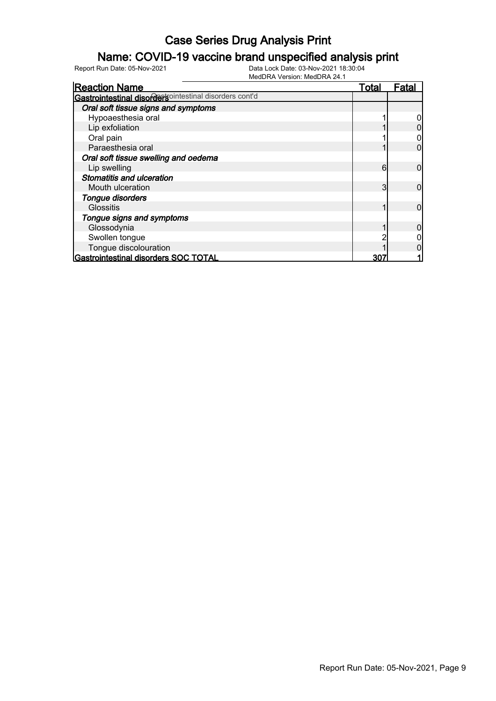### Name: COVID-19 vaccine brand unspecified analysis print

| <b>Reaction Name</b>                                    | Total | Fata |
|---------------------------------------------------------|-------|------|
| Gastrointestinal disordertsointestinal disorders cont'd |       |      |
| Oral soft tissue signs and symptoms                     |       |      |
| Hypoaesthesia oral                                      |       |      |
| Lip exfoliation                                         |       |      |
| Oral pain                                               |       |      |
| Paraesthesia oral                                       |       |      |
| Oral soft tissue swelling and oedema                    |       |      |
| Lip swelling                                            | 6     |      |
| <b>Stomatitis and ulceration</b>                        |       |      |
| Mouth ulceration                                        | 3     |      |
| Tongue disorders                                        |       |      |
| <b>Glossitis</b>                                        |       |      |
| Tongue signs and symptoms                               |       |      |
| Glossodynia                                             |       |      |
| Swollen tongue                                          |       |      |
| Tongue discolouration                                   |       |      |
| Gastrointestinal disorders SOC TOTAL                    | 30    |      |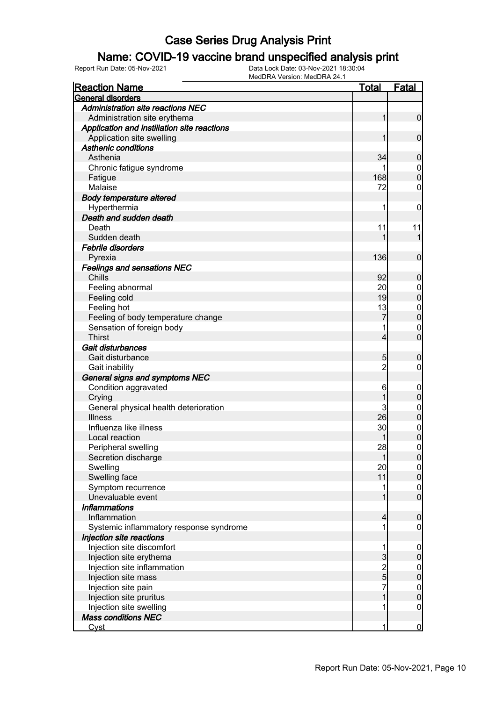### Name: COVID-19 vaccine brand unspecified analysis print

| <b>Reaction Name</b>                        | <u>Total</u>        | <b>Fatal</b>     |
|---------------------------------------------|---------------------|------------------|
| General disorders                           |                     |                  |
| <b>Administration site reactions NEC</b>    |                     |                  |
| Administration site erythema                | 1                   | $\mathbf 0$      |
| Application and instillation site reactions |                     |                  |
| Application site swelling                   |                     | $\mathbf 0$      |
| <b>Asthenic conditions</b>                  |                     |                  |
| Asthenia                                    | 34                  | $\mathbf 0$      |
| Chronic fatigue syndrome                    |                     | $\mathbf 0$      |
| Fatigue                                     | 168                 | $\mathbf 0$      |
| Malaise                                     | 72                  | 0                |
| <b>Body temperature altered</b>             |                     |                  |
| Hyperthermia                                | 1                   | 0                |
| Death and sudden death                      |                     |                  |
| Death                                       | 11                  | 11               |
| Sudden death                                |                     | 1                |
| <b>Febrile disorders</b>                    |                     |                  |
| Pyrexia                                     | 136                 | $\mathbf 0$      |
| <b>Feelings and sensations NEC</b>          |                     |                  |
| Chills                                      | 92                  | $\mathbf 0$      |
| Feeling abnormal                            | 20                  | $\mathbf 0$      |
| Feeling cold                                | 19                  | $\mathbf 0$      |
| Feeling hot                                 | 13                  | $\mathbf 0$      |
| Feeling of body temperature change          | 7                   | $\mathbf 0$      |
| Sensation of foreign body                   |                     | $\mathbf 0$      |
| <b>Thirst</b>                               | 4                   | $\mathbf 0$      |
| Gait disturbances                           |                     |                  |
| Gait disturbance                            |                     |                  |
|                                             | 5<br>$\overline{c}$ | $\mathbf 0$<br>0 |
| Gait inability                              |                     |                  |
| General signs and symptoms NEC              |                     |                  |
| Condition aggravated                        | 6<br>1              | $\boldsymbol{0}$ |
| Crying                                      |                     | $\mathbf 0$      |
| General physical health deterioration       | 3                   | $\mathbf 0$      |
| <b>Illness</b>                              | 26                  | $\pmb{0}$        |
| Influenza like illness                      | 30                  | $\boldsymbol{0}$ |
| Local reaction                              |                     | $\overline{0}$   |
| Peripheral swelling                         | 28                  | $\boldsymbol{0}$ |
| Secretion discharge                         | 1                   | $\overline{0}$   |
| Swelling                                    | 20                  | $\overline{0}$   |
| Swelling face                               | 11                  | $\pmb{0}$        |
| Symptom recurrence                          |                     | $\boldsymbol{0}$ |
| Unevaluable event                           |                     | $\overline{0}$   |
| <b>Inflammations</b>                        |                     |                  |
| Inflammation                                | 4                   | $\boldsymbol{0}$ |
| Systemic inflammatory response syndrome     |                     | 0                |
| Injection site reactions                    |                     |                  |
| Injection site discomfort                   | 1                   | $\mathbf 0$      |
| Injection site erythema                     | 3                   | $\pmb{0}$        |
| Injection site inflammation                 | $\frac{2}{5}$       | $\mathbf 0$      |
| Injection site mass                         |                     | $\overline{0}$   |
| Injection site pain                         | 7                   | $0\atop 0$       |
| Injection site pruritus                     |                     |                  |
| Injection site swelling                     |                     | $\mathbf 0$      |
| <b>Mass conditions NEC</b>                  |                     |                  |
| <u>Cyst</u>                                 | 1                   | $\overline{0}$   |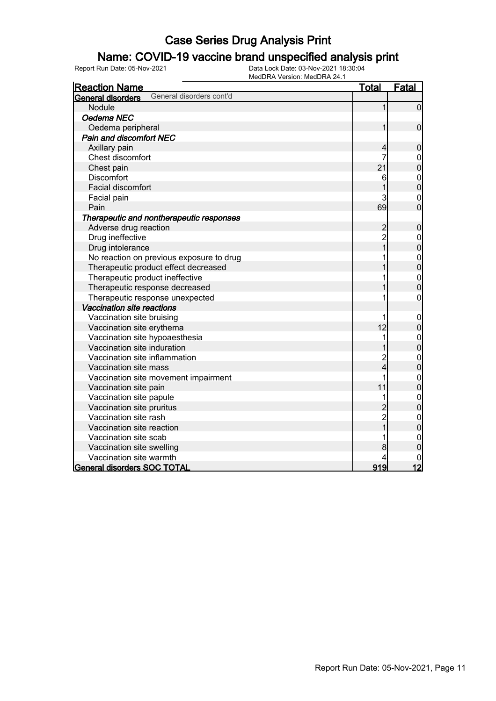### Name: COVID-19 vaccine brand unspecified analysis print

| <b>Reaction Name</b>                          | <b>Total</b>   | Fatal          |
|-----------------------------------------------|----------------|----------------|
| General disorders cont'd<br>General disorders |                |                |
| Nodule                                        |                | $\overline{0}$ |
| Oedema NEC                                    |                |                |
| Oedema peripheral                             |                | 0              |
| <b>Pain and discomfort NEC</b>                |                |                |
| Axillary pain                                 |                | $\mathbf 0$    |
| Chest discomfort                              |                | $\mathbf 0$    |
| Chest pain                                    | 21             | $\overline{0}$ |
| Discomfort                                    | 6              | $\mathbf{0}$   |
| Facial discomfort                             |                | $\overline{0}$ |
| Facial pain                                   | 3              | $\mathbf{0}$   |
| Pain                                          | 69             | $\overline{0}$ |
| Therapeutic and nontherapeutic responses      |                |                |
| Adverse drug reaction                         | $\overline{c}$ | $\mathbf 0$    |
| Drug ineffective                              | $\overline{c}$ | $\mathbf 0$    |
| Drug intolerance                              | $\overline{1}$ | $\overline{0}$ |
| No reaction on previous exposure to drug      |                | $\mathbf{0}$   |
| Therapeutic product effect decreased          |                | $\overline{0}$ |
| Therapeutic product ineffective               |                | $\mathbf 0$    |
| Therapeutic response decreased                |                | 0              |
| Therapeutic response unexpected               |                | 0              |
| Vaccination site reactions                    |                |                |
| Vaccination site bruising                     |                | $\mathbf 0$    |
| Vaccination site erythema                     | 12             | $\mathbf 0$    |
| Vaccination site hypoaesthesia                |                | $\mathbf 0$    |
| Vaccination site induration                   |                | $\overline{0}$ |
| Vaccination site inflammation                 | $\overline{c}$ | $\mathbf 0$    |
| Vaccination site mass                         | 4              | 0              |
| Vaccination site movement impairment          | 1              | $0\atop 0$     |
| Vaccination site pain                         | 11             |                |
| Vaccination site papule                       | 1              | $\mathbf{0}$   |
| Vaccination site pruritus                     | $\overline{c}$ | $\overline{0}$ |
| Vaccination site rash                         | $\overline{c}$ | $\mathbf{0}$   |
| Vaccination site reaction                     | $\overline{1}$ | $\overline{0}$ |
| Vaccination site scab                         |                | 0              |
| Vaccination site swelling                     | 8              | 0              |
| Vaccination site warmth                       | 4              |                |
| General disorders SOC TOTAL                   | 919            | 12             |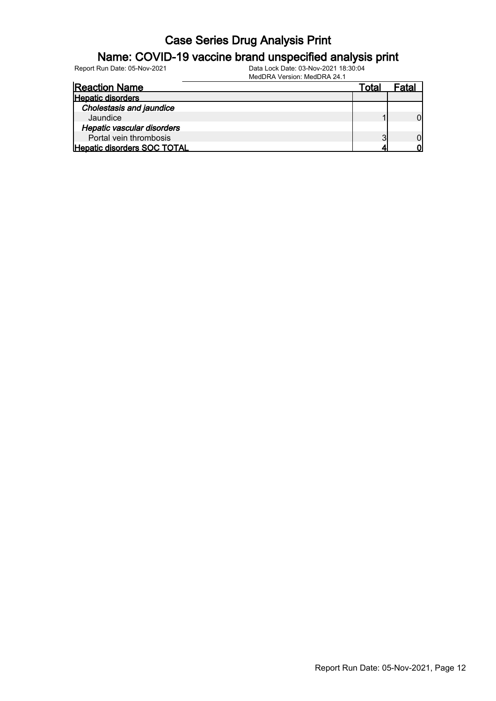#### Name: COVID-19 vaccine brand unspecified analysis print

Report Run Date: 05-Nov-2021 Data Lock Date: 03-Nov-2021 18:30:04

MedDRA Version: MedDRA 24.1

| <b>Reaction Name</b>            | Total | Fatal |
|---------------------------------|-------|-------|
| <b>Hepatic disorders</b>        |       |       |
| <b>Cholestasis and jaundice</b> |       |       |
| Jaundice                        |       |       |
| Hepatic vascular disorders      |       |       |
| Portal vein thrombosis          | ≏     |       |
| Hepatic disorders SOC TOTAL     |       |       |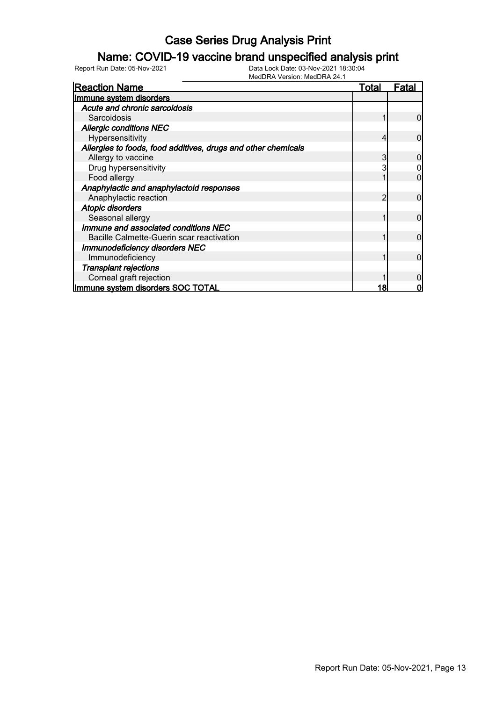### Name: COVID-19 vaccine brand unspecified analysis print

| <b>Reaction Name</b>                                          | <b>Total</b> | Fatal |
|---------------------------------------------------------------|--------------|-------|
| Immune system disorders                                       |              |       |
| Acute and chronic sarcoidosis                                 |              |       |
| Sarcoidosis                                                   |              |       |
| <b>Allergic conditions NEC</b>                                |              |       |
| Hypersensitivity                                              |              |       |
| Allergies to foods, food additives, drugs and other chemicals |              |       |
| Allergy to vaccine                                            |              |       |
| Drug hypersensitivity                                         |              |       |
| Food allergy                                                  |              |       |
| Anaphylactic and anaphylactoid responses                      |              |       |
| Anaphylactic reaction                                         |              |       |
| <b>Atopic disorders</b>                                       |              |       |
| Seasonal allergy                                              |              |       |
| Immune and associated conditions NEC                          |              |       |
| Bacille Calmette-Guerin scar reactivation                     |              |       |
| <b>Immunodeficiency disorders NEC</b>                         |              |       |
| Immunodeficiency                                              |              |       |
| <b>Transplant rejections</b>                                  |              |       |
| Corneal graft rejection                                       |              |       |
| Immune system disorders SOC TOTAL                             | 18           |       |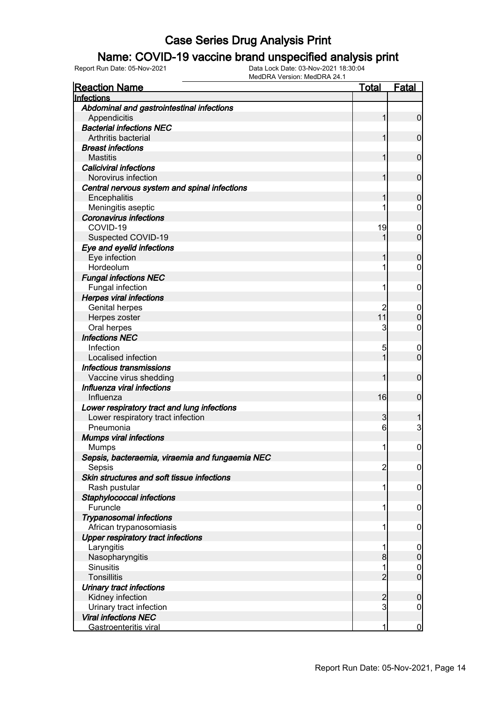### Name: COVID-19 vaccine brand unspecified analysis print

| Abdominal and gastrointestinal infections<br>$\mathbf 0$<br>Appendicitis<br>1<br><b>Bacterial infections NEC</b><br>Arthritis bacterial<br>$\mathbf 0$<br>1<br><b>Breast infections</b><br>$\mathbf 0$<br><b>Mastitis</b><br>1<br><b>Caliciviral infections</b><br>Norovirus infection<br>$\mathbf 0$<br>1<br>Central nervous system and spinal infections<br>Encephalitis<br>$\mathbf 0$<br>1<br>Meningitis aseptic<br>$\mathbf 0$<br>1<br><b>Coronavirus infections</b><br>COVID-19<br>19<br>$\boldsymbol{0}$<br>$\overline{0}$<br>Suspected COVID-19<br>1<br>Eye and eyelid infections<br>Eye infection<br>$\mathbf 0$<br>1<br>Hordeolum<br>$\mathbf 0$<br>1<br><b>Fungal infections NEC</b><br>Fungal infection<br>1<br>$\mathbf 0$<br><b>Herpes viral infections</b><br><b>Genital herpes</b><br>$\boldsymbol{0}$<br>11<br>$\mathbf 0$<br>Herpes zoster<br>Oral herpes<br>3<br>$\mathbf 0$<br><b>Infections NEC</b><br>Infection<br>5<br>$\mathbf 0$<br>$\mathbf 0$<br>Localised infection<br>1<br>Infectious transmissions<br>Vaccine virus shedding<br>$\mathbf 0$<br>1<br>Influenza viral infections<br>16<br>$\mathbf 0$<br>Influenza<br>Lower respiratory tract and lung infections<br>Lower respiratory tract infection<br>3<br>1<br>3<br>Pneumonia<br>6<br><b>Mumps viral infections</b><br>$\boldsymbol{0}$<br>11<br><b>Mumps</b><br>Sepsis, bacteraemia, viraemia and fungaemia NEC<br>$\overline{c}$<br>Sepsis<br>$\overline{0}$<br>Skin structures and soft tissue infections<br>Rash pustular<br>1<br>$\mathbf 0$<br>Staphylococcal infections<br>Furuncle<br>1<br>$\mathbf 0$<br><b>Trypanosomal infections</b><br>African trypanosomiasis<br>1<br>$\mathbf 0$<br><b>Upper respiratory tract infections</b><br>Laryngitis<br>1<br>$\mathbf 0$<br>$\mathbf 0$<br>Nasopharyngitis<br>8<br><b>Sinusitis</b><br>1<br>$\overline{0}$<br>$\overline{0}$<br>$\overline{2}$<br><b>Tonsillitis</b><br>Urinary tract infections<br>Kidney infection<br>$\overline{\mathbf{c}}$<br>$\mathbf 0$ | <b>Reaction Name</b> | <b>Total</b> | <b>Fatal</b> |
|-------------------------------------------------------------------------------------------------------------------------------------------------------------------------------------------------------------------------------------------------------------------------------------------------------------------------------------------------------------------------------------------------------------------------------------------------------------------------------------------------------------------------------------------------------------------------------------------------------------------------------------------------------------------------------------------------------------------------------------------------------------------------------------------------------------------------------------------------------------------------------------------------------------------------------------------------------------------------------------------------------------------------------------------------------------------------------------------------------------------------------------------------------------------------------------------------------------------------------------------------------------------------------------------------------------------------------------------------------------------------------------------------------------------------------------------------------------------------------------------------------------------------------------------------------------------------------------------------------------------------------------------------------------------------------------------------------------------------------------------------------------------------------------------------------------------------------------------------------------------------------------------------------------------------------------------------------------------------------------------------------|----------------------|--------------|--------------|
|                                                                                                                                                                                                                                                                                                                                                                                                                                                                                                                                                                                                                                                                                                                                                                                                                                                                                                                                                                                                                                                                                                                                                                                                                                                                                                                                                                                                                                                                                                                                                                                                                                                                                                                                                                                                                                                                                                                                                                                                       | Infections           |              |              |
|                                                                                                                                                                                                                                                                                                                                                                                                                                                                                                                                                                                                                                                                                                                                                                                                                                                                                                                                                                                                                                                                                                                                                                                                                                                                                                                                                                                                                                                                                                                                                                                                                                                                                                                                                                                                                                                                                                                                                                                                       |                      |              |              |
|                                                                                                                                                                                                                                                                                                                                                                                                                                                                                                                                                                                                                                                                                                                                                                                                                                                                                                                                                                                                                                                                                                                                                                                                                                                                                                                                                                                                                                                                                                                                                                                                                                                                                                                                                                                                                                                                                                                                                                                                       |                      |              |              |
|                                                                                                                                                                                                                                                                                                                                                                                                                                                                                                                                                                                                                                                                                                                                                                                                                                                                                                                                                                                                                                                                                                                                                                                                                                                                                                                                                                                                                                                                                                                                                                                                                                                                                                                                                                                                                                                                                                                                                                                                       |                      |              |              |
|                                                                                                                                                                                                                                                                                                                                                                                                                                                                                                                                                                                                                                                                                                                                                                                                                                                                                                                                                                                                                                                                                                                                                                                                                                                                                                                                                                                                                                                                                                                                                                                                                                                                                                                                                                                                                                                                                                                                                                                                       |                      |              |              |
|                                                                                                                                                                                                                                                                                                                                                                                                                                                                                                                                                                                                                                                                                                                                                                                                                                                                                                                                                                                                                                                                                                                                                                                                                                                                                                                                                                                                                                                                                                                                                                                                                                                                                                                                                                                                                                                                                                                                                                                                       |                      |              |              |
|                                                                                                                                                                                                                                                                                                                                                                                                                                                                                                                                                                                                                                                                                                                                                                                                                                                                                                                                                                                                                                                                                                                                                                                                                                                                                                                                                                                                                                                                                                                                                                                                                                                                                                                                                                                                                                                                                                                                                                                                       |                      |              |              |
|                                                                                                                                                                                                                                                                                                                                                                                                                                                                                                                                                                                                                                                                                                                                                                                                                                                                                                                                                                                                                                                                                                                                                                                                                                                                                                                                                                                                                                                                                                                                                                                                                                                                                                                                                                                                                                                                                                                                                                                                       |                      |              |              |
|                                                                                                                                                                                                                                                                                                                                                                                                                                                                                                                                                                                                                                                                                                                                                                                                                                                                                                                                                                                                                                                                                                                                                                                                                                                                                                                                                                                                                                                                                                                                                                                                                                                                                                                                                                                                                                                                                                                                                                                                       |                      |              |              |
|                                                                                                                                                                                                                                                                                                                                                                                                                                                                                                                                                                                                                                                                                                                                                                                                                                                                                                                                                                                                                                                                                                                                                                                                                                                                                                                                                                                                                                                                                                                                                                                                                                                                                                                                                                                                                                                                                                                                                                                                       |                      |              |              |
|                                                                                                                                                                                                                                                                                                                                                                                                                                                                                                                                                                                                                                                                                                                                                                                                                                                                                                                                                                                                                                                                                                                                                                                                                                                                                                                                                                                                                                                                                                                                                                                                                                                                                                                                                                                                                                                                                                                                                                                                       |                      |              |              |
|                                                                                                                                                                                                                                                                                                                                                                                                                                                                                                                                                                                                                                                                                                                                                                                                                                                                                                                                                                                                                                                                                                                                                                                                                                                                                                                                                                                                                                                                                                                                                                                                                                                                                                                                                                                                                                                                                                                                                                                                       |                      |              |              |
|                                                                                                                                                                                                                                                                                                                                                                                                                                                                                                                                                                                                                                                                                                                                                                                                                                                                                                                                                                                                                                                                                                                                                                                                                                                                                                                                                                                                                                                                                                                                                                                                                                                                                                                                                                                                                                                                                                                                                                                                       |                      |              |              |
|                                                                                                                                                                                                                                                                                                                                                                                                                                                                                                                                                                                                                                                                                                                                                                                                                                                                                                                                                                                                                                                                                                                                                                                                                                                                                                                                                                                                                                                                                                                                                                                                                                                                                                                                                                                                                                                                                                                                                                                                       |                      |              |              |
|                                                                                                                                                                                                                                                                                                                                                                                                                                                                                                                                                                                                                                                                                                                                                                                                                                                                                                                                                                                                                                                                                                                                                                                                                                                                                                                                                                                                                                                                                                                                                                                                                                                                                                                                                                                                                                                                                                                                                                                                       |                      |              |              |
|                                                                                                                                                                                                                                                                                                                                                                                                                                                                                                                                                                                                                                                                                                                                                                                                                                                                                                                                                                                                                                                                                                                                                                                                                                                                                                                                                                                                                                                                                                                                                                                                                                                                                                                                                                                                                                                                                                                                                                                                       |                      |              |              |
|                                                                                                                                                                                                                                                                                                                                                                                                                                                                                                                                                                                                                                                                                                                                                                                                                                                                                                                                                                                                                                                                                                                                                                                                                                                                                                                                                                                                                                                                                                                                                                                                                                                                                                                                                                                                                                                                                                                                                                                                       |                      |              |              |
|                                                                                                                                                                                                                                                                                                                                                                                                                                                                                                                                                                                                                                                                                                                                                                                                                                                                                                                                                                                                                                                                                                                                                                                                                                                                                                                                                                                                                                                                                                                                                                                                                                                                                                                                                                                                                                                                                                                                                                                                       |                      |              |              |
|                                                                                                                                                                                                                                                                                                                                                                                                                                                                                                                                                                                                                                                                                                                                                                                                                                                                                                                                                                                                                                                                                                                                                                                                                                                                                                                                                                                                                                                                                                                                                                                                                                                                                                                                                                                                                                                                                                                                                                                                       |                      |              |              |
|                                                                                                                                                                                                                                                                                                                                                                                                                                                                                                                                                                                                                                                                                                                                                                                                                                                                                                                                                                                                                                                                                                                                                                                                                                                                                                                                                                                                                                                                                                                                                                                                                                                                                                                                                                                                                                                                                                                                                                                                       |                      |              |              |
|                                                                                                                                                                                                                                                                                                                                                                                                                                                                                                                                                                                                                                                                                                                                                                                                                                                                                                                                                                                                                                                                                                                                                                                                                                                                                                                                                                                                                                                                                                                                                                                                                                                                                                                                                                                                                                                                                                                                                                                                       |                      |              |              |
|                                                                                                                                                                                                                                                                                                                                                                                                                                                                                                                                                                                                                                                                                                                                                                                                                                                                                                                                                                                                                                                                                                                                                                                                                                                                                                                                                                                                                                                                                                                                                                                                                                                                                                                                                                                                                                                                                                                                                                                                       |                      |              |              |
|                                                                                                                                                                                                                                                                                                                                                                                                                                                                                                                                                                                                                                                                                                                                                                                                                                                                                                                                                                                                                                                                                                                                                                                                                                                                                                                                                                                                                                                                                                                                                                                                                                                                                                                                                                                                                                                                                                                                                                                                       |                      |              |              |
|                                                                                                                                                                                                                                                                                                                                                                                                                                                                                                                                                                                                                                                                                                                                                                                                                                                                                                                                                                                                                                                                                                                                                                                                                                                                                                                                                                                                                                                                                                                                                                                                                                                                                                                                                                                                                                                                                                                                                                                                       |                      |              |              |
|                                                                                                                                                                                                                                                                                                                                                                                                                                                                                                                                                                                                                                                                                                                                                                                                                                                                                                                                                                                                                                                                                                                                                                                                                                                                                                                                                                                                                                                                                                                                                                                                                                                                                                                                                                                                                                                                                                                                                                                                       |                      |              |              |
|                                                                                                                                                                                                                                                                                                                                                                                                                                                                                                                                                                                                                                                                                                                                                                                                                                                                                                                                                                                                                                                                                                                                                                                                                                                                                                                                                                                                                                                                                                                                                                                                                                                                                                                                                                                                                                                                                                                                                                                                       |                      |              |              |
|                                                                                                                                                                                                                                                                                                                                                                                                                                                                                                                                                                                                                                                                                                                                                                                                                                                                                                                                                                                                                                                                                                                                                                                                                                                                                                                                                                                                                                                                                                                                                                                                                                                                                                                                                                                                                                                                                                                                                                                                       |                      |              |              |
|                                                                                                                                                                                                                                                                                                                                                                                                                                                                                                                                                                                                                                                                                                                                                                                                                                                                                                                                                                                                                                                                                                                                                                                                                                                                                                                                                                                                                                                                                                                                                                                                                                                                                                                                                                                                                                                                                                                                                                                                       |                      |              |              |
|                                                                                                                                                                                                                                                                                                                                                                                                                                                                                                                                                                                                                                                                                                                                                                                                                                                                                                                                                                                                                                                                                                                                                                                                                                                                                                                                                                                                                                                                                                                                                                                                                                                                                                                                                                                                                                                                                                                                                                                                       |                      |              |              |
|                                                                                                                                                                                                                                                                                                                                                                                                                                                                                                                                                                                                                                                                                                                                                                                                                                                                                                                                                                                                                                                                                                                                                                                                                                                                                                                                                                                                                                                                                                                                                                                                                                                                                                                                                                                                                                                                                                                                                                                                       |                      |              |              |
|                                                                                                                                                                                                                                                                                                                                                                                                                                                                                                                                                                                                                                                                                                                                                                                                                                                                                                                                                                                                                                                                                                                                                                                                                                                                                                                                                                                                                                                                                                                                                                                                                                                                                                                                                                                                                                                                                                                                                                                                       |                      |              |              |
|                                                                                                                                                                                                                                                                                                                                                                                                                                                                                                                                                                                                                                                                                                                                                                                                                                                                                                                                                                                                                                                                                                                                                                                                                                                                                                                                                                                                                                                                                                                                                                                                                                                                                                                                                                                                                                                                                                                                                                                                       |                      |              |              |
|                                                                                                                                                                                                                                                                                                                                                                                                                                                                                                                                                                                                                                                                                                                                                                                                                                                                                                                                                                                                                                                                                                                                                                                                                                                                                                                                                                                                                                                                                                                                                                                                                                                                                                                                                                                                                                                                                                                                                                                                       |                      |              |              |
|                                                                                                                                                                                                                                                                                                                                                                                                                                                                                                                                                                                                                                                                                                                                                                                                                                                                                                                                                                                                                                                                                                                                                                                                                                                                                                                                                                                                                                                                                                                                                                                                                                                                                                                                                                                                                                                                                                                                                                                                       |                      |              |              |
|                                                                                                                                                                                                                                                                                                                                                                                                                                                                                                                                                                                                                                                                                                                                                                                                                                                                                                                                                                                                                                                                                                                                                                                                                                                                                                                                                                                                                                                                                                                                                                                                                                                                                                                                                                                                                                                                                                                                                                                                       |                      |              |              |
|                                                                                                                                                                                                                                                                                                                                                                                                                                                                                                                                                                                                                                                                                                                                                                                                                                                                                                                                                                                                                                                                                                                                                                                                                                                                                                                                                                                                                                                                                                                                                                                                                                                                                                                                                                                                                                                                                                                                                                                                       |                      |              |              |
|                                                                                                                                                                                                                                                                                                                                                                                                                                                                                                                                                                                                                                                                                                                                                                                                                                                                                                                                                                                                                                                                                                                                                                                                                                                                                                                                                                                                                                                                                                                                                                                                                                                                                                                                                                                                                                                                                                                                                                                                       |                      |              |              |
|                                                                                                                                                                                                                                                                                                                                                                                                                                                                                                                                                                                                                                                                                                                                                                                                                                                                                                                                                                                                                                                                                                                                                                                                                                                                                                                                                                                                                                                                                                                                                                                                                                                                                                                                                                                                                                                                                                                                                                                                       |                      |              |              |
|                                                                                                                                                                                                                                                                                                                                                                                                                                                                                                                                                                                                                                                                                                                                                                                                                                                                                                                                                                                                                                                                                                                                                                                                                                                                                                                                                                                                                                                                                                                                                                                                                                                                                                                                                                                                                                                                                                                                                                                                       |                      |              |              |
|                                                                                                                                                                                                                                                                                                                                                                                                                                                                                                                                                                                                                                                                                                                                                                                                                                                                                                                                                                                                                                                                                                                                                                                                                                                                                                                                                                                                                                                                                                                                                                                                                                                                                                                                                                                                                                                                                                                                                                                                       |                      |              |              |
|                                                                                                                                                                                                                                                                                                                                                                                                                                                                                                                                                                                                                                                                                                                                                                                                                                                                                                                                                                                                                                                                                                                                                                                                                                                                                                                                                                                                                                                                                                                                                                                                                                                                                                                                                                                                                                                                                                                                                                                                       |                      |              |              |
|                                                                                                                                                                                                                                                                                                                                                                                                                                                                                                                                                                                                                                                                                                                                                                                                                                                                                                                                                                                                                                                                                                                                                                                                                                                                                                                                                                                                                                                                                                                                                                                                                                                                                                                                                                                                                                                                                                                                                                                                       |                      |              |              |
|                                                                                                                                                                                                                                                                                                                                                                                                                                                                                                                                                                                                                                                                                                                                                                                                                                                                                                                                                                                                                                                                                                                                                                                                                                                                                                                                                                                                                                                                                                                                                                                                                                                                                                                                                                                                                                                                                                                                                                                                       |                      |              |              |
|                                                                                                                                                                                                                                                                                                                                                                                                                                                                                                                                                                                                                                                                                                                                                                                                                                                                                                                                                                                                                                                                                                                                                                                                                                                                                                                                                                                                                                                                                                                                                                                                                                                                                                                                                                                                                                                                                                                                                                                                       |                      |              |              |
|                                                                                                                                                                                                                                                                                                                                                                                                                                                                                                                                                                                                                                                                                                                                                                                                                                                                                                                                                                                                                                                                                                                                                                                                                                                                                                                                                                                                                                                                                                                                                                                                                                                                                                                                                                                                                                                                                                                                                                                                       |                      |              |              |
|                                                                                                                                                                                                                                                                                                                                                                                                                                                                                                                                                                                                                                                                                                                                                                                                                                                                                                                                                                                                                                                                                                                                                                                                                                                                                                                                                                                                                                                                                                                                                                                                                                                                                                                                                                                                                                                                                                                                                                                                       |                      |              |              |
|                                                                                                                                                                                                                                                                                                                                                                                                                                                                                                                                                                                                                                                                                                                                                                                                                                                                                                                                                                                                                                                                                                                                                                                                                                                                                                                                                                                                                                                                                                                                                                                                                                                                                                                                                                                                                                                                                                                                                                                                       |                      |              |              |
|                                                                                                                                                                                                                                                                                                                                                                                                                                                                                                                                                                                                                                                                                                                                                                                                                                                                                                                                                                                                                                                                                                                                                                                                                                                                                                                                                                                                                                                                                                                                                                                                                                                                                                                                                                                                                                                                                                                                                                                                       |                      |              |              |
|                                                                                                                                                                                                                                                                                                                                                                                                                                                                                                                                                                                                                                                                                                                                                                                                                                                                                                                                                                                                                                                                                                                                                                                                                                                                                                                                                                                                                                                                                                                                                                                                                                                                                                                                                                                                                                                                                                                                                                                                       |                      |              |              |
|                                                                                                                                                                                                                                                                                                                                                                                                                                                                                                                                                                                                                                                                                                                                                                                                                                                                                                                                                                                                                                                                                                                                                                                                                                                                                                                                                                                                                                                                                                                                                                                                                                                                                                                                                                                                                                                                                                                                                                                                       |                      |              |              |
|                                                                                                                                                                                                                                                                                                                                                                                                                                                                                                                                                                                                                                                                                                                                                                                                                                                                                                                                                                                                                                                                                                                                                                                                                                                                                                                                                                                                                                                                                                                                                                                                                                                                                                                                                                                                                                                                                                                                                                                                       |                      |              |              |
| $\overline{3}$<br>$\overline{0}$                                                                                                                                                                                                                                                                                                                                                                                                                                                                                                                                                                                                                                                                                                                                                                                                                                                                                                                                                                                                                                                                                                                                                                                                                                                                                                                                                                                                                                                                                                                                                                                                                                                                                                                                                                                                                                                                                                                                                                      |                      |              |              |
| Urinary tract infection<br><b>Viral infections NEC</b>                                                                                                                                                                                                                                                                                                                                                                                                                                                                                                                                                                                                                                                                                                                                                                                                                                                                                                                                                                                                                                                                                                                                                                                                                                                                                                                                                                                                                                                                                                                                                                                                                                                                                                                                                                                                                                                                                                                                                |                      |              |              |
| Gastroenteritis viral<br>1<br>$\bf{0}$                                                                                                                                                                                                                                                                                                                                                                                                                                                                                                                                                                                                                                                                                                                                                                                                                                                                                                                                                                                                                                                                                                                                                                                                                                                                                                                                                                                                                                                                                                                                                                                                                                                                                                                                                                                                                                                                                                                                                                |                      |              |              |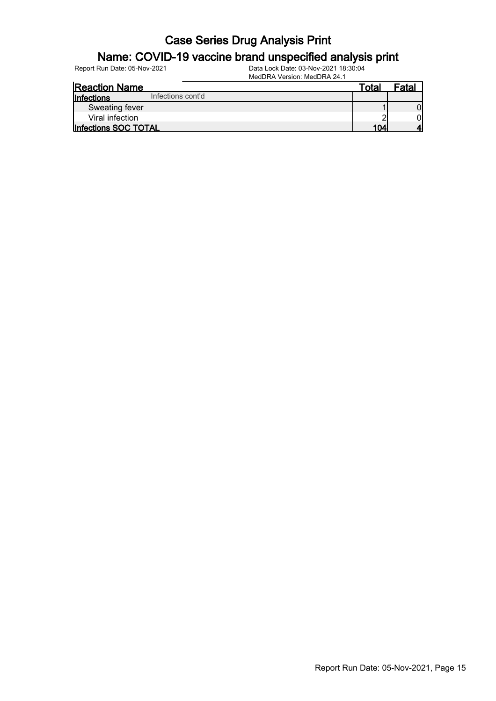### Name: COVID-19 vaccine brand unspecified analysis print

Report Run Date: 05-Nov-2021 Data Lock Date: 03-Nov-2021 18:30:04

MedDRA Version: MedDRA 24.1

| <b>Reaction Name</b>                   | Total           | Fatal |
|----------------------------------------|-----------------|-------|
| Infections cont'd<br><b>Infections</b> |                 |       |
| Sweating fever                         |                 |       |
| Viral infection                        |                 | Ol    |
| Infections SOC TOTAL                   | 10 <sub>A</sub> |       |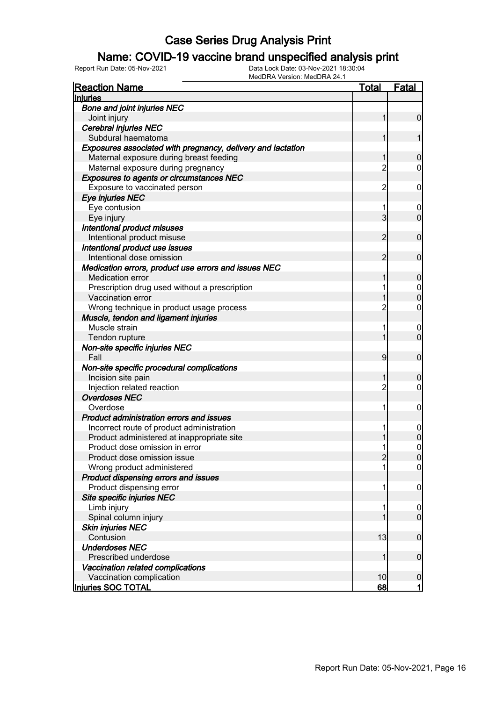### Name: COVID-19 vaccine brand unspecified analysis print

| <b>Reaction Name</b>                                        | <b>Total</b>   | <b>Fatal</b>     |
|-------------------------------------------------------------|----------------|------------------|
| <b>Injuries</b>                                             |                |                  |
| <b>Bone and joint injuries NEC</b>                          |                |                  |
| Joint injury                                                | 1              | $\overline{0}$   |
| <b>Cerebral injuries NEC</b>                                |                |                  |
| Subdural haematoma                                          | 1              | 1                |
| Exposures associated with pregnancy, delivery and lactation |                |                  |
| Maternal exposure during breast feeding                     | 1              | $\mathbf 0$      |
| Maternal exposure during pregnancy                          | $\overline{c}$ | $\overline{0}$   |
| <b>Exposures to agents or circumstances NEC</b>             |                |                  |
| Exposure to vaccinated person                               | $\overline{c}$ | $\mathbf 0$      |
| Eye injuries NEC                                            |                |                  |
| Eye contusion                                               | 1              | 0                |
| Eye injury                                                  | $\overline{3}$ | $\mathbf 0$      |
| Intentional product misuses                                 |                |                  |
| Intentional product misuse                                  | $\overline{2}$ | $\mathbf 0$      |
| Intentional product use issues                              |                |                  |
| Intentional dose omission                                   | $\overline{2}$ | $\mathbf 0$      |
| Medication errors, product use errors and issues NEC        |                |                  |
| <b>Medication error</b>                                     | 1              | $\mathbf 0$      |
| Prescription drug used without a prescription               | 1              | $\boldsymbol{0}$ |
| Vaccination error                                           | 1              | $\overline{0}$   |
| Wrong technique in product usage process                    | $\overline{2}$ | $\mathbf 0$      |
| Muscle, tendon and ligament injuries                        |                |                  |
| Muscle strain                                               | 1              | $\mathbf 0$      |
| Tendon rupture                                              | 1              | $\mathbf 0$      |
| Non-site specific injuries NEC                              |                |                  |
| Fall                                                        | 9              | $\mathbf 0$      |
| Non-site specific procedural complications                  |                |                  |
| Incision site pain                                          | 1              | $\boldsymbol{0}$ |
| Injection related reaction                                  | $\overline{2}$ | $\mathbf 0$      |
| <b>Overdoses NEC</b>                                        |                |                  |
| Overdose                                                    | 1              | $\mathbf 0$      |
| Product administration errors and issues                    |                |                  |
| Incorrect route of product administration                   | 1              | $\mathbf 0$      |
| Product administered at inappropriate site                  |                | $\mathbf 0$      |
| Product dose omission in error                              | 1              | 0                |
| Product dose omission issue                                 | $\overline{c}$ | 0                |
| Wrong product administered                                  | 1              | $\overline{0}$   |
| Product dispensing errors and issues                        |                |                  |
| Product dispensing error                                    | 1              | $\mathbf 0$      |
| Site specific injuries NEC                                  |                |                  |
| Limb injury                                                 | 1              | $\mathbf 0$      |
| Spinal column injury                                        | 1              | $\mathbf 0$      |
| <b>Skin injuries NEC</b>                                    |                |                  |
| Contusion                                                   | 13             | $\boldsymbol{0}$ |
| <b>Underdoses NEC</b>                                       |                |                  |
| Prescribed underdose                                        | 1              | $\boldsymbol{0}$ |
| Vaccination related complications                           |                |                  |
| Vaccination complication                                    | 10             | $\mathbf 0$      |
| Injuries SOC TOTAL                                          | <u>68</u>      | $\mathbf{1}$     |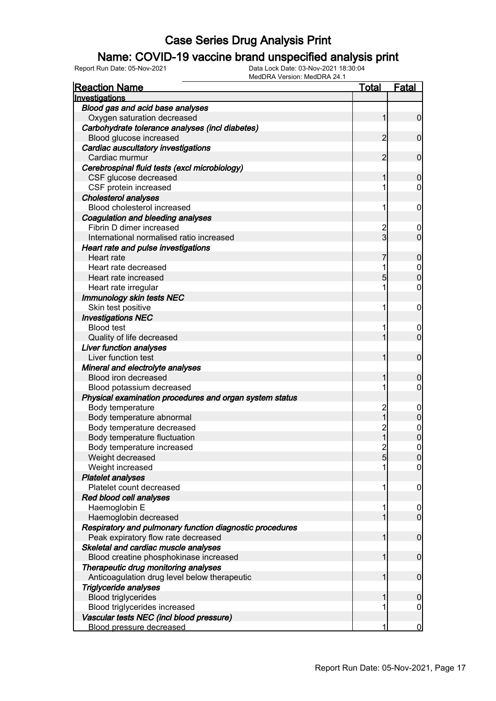### Name: COVID-19 vaccine brand unspecified analysis print

Report Run Date: 05-Nov-2021 Data Lock Date: 03-Nov-2021 18:30:04

MedDRA Version: MedDRA 24.1

| <b>Reaction Name</b>                                     | <u>Total</u>   | <b>Fatal</b>   |
|----------------------------------------------------------|----------------|----------------|
| Investigations                                           |                |                |
| Blood gas and acid base analyses                         |                |                |
| Oxygen saturation decreased                              | 1              | $\overline{0}$ |
| Carbohydrate tolerance analyses (incl diabetes)          |                |                |
| Blood glucose increased                                  | 2              | $\mathbf 0$    |
| Cardiac auscultatory investigations                      |                |                |
| Cardiac murmur                                           | 2              | $\mathbf 0$    |
| Cerebrospinal fluid tests (excl microbiology)            |                |                |
| CSF glucose decreased                                    |                | 0              |
| CSF protein increased                                    |                | 0              |
| <b>Cholesterol analyses</b>                              |                |                |
| Blood cholesterol increased                              | 1              | 0              |
| Coagulation and bleeding analyses                        |                |                |
| Fibrin D dimer increased                                 | 2              | 0              |
| International normalised ratio increased                 | 3              | 0              |
| Heart rate and pulse investigations                      |                |                |
| Heart rate                                               |                | 0              |
| Heart rate decreased                                     |                | $\mathbf 0$    |
| Heart rate increased                                     | 5              | 0              |
| Heart rate irregular                                     | 1              | 0              |
| <b>Immunology skin tests NEC</b>                         |                |                |
| Skin test positive                                       | 1              | 0              |
| <b>Investigations NEC</b>                                |                |                |
| <b>Blood test</b>                                        | 1              | 0              |
| Quality of life decreased                                |                | $\overline{0}$ |
| <b>Liver function analyses</b>                           |                |                |
| Liver function test                                      |                | $\mathbf 0$    |
| Mineral and electrolyte analyses                         |                |                |
| <b>Blood iron decreased</b>                              |                | 0              |
| Blood potassium decreased                                |                | 0              |
| Physical examination procedures and organ system status  |                |                |
| Body temperature                                         | $\overline{c}$ | 0              |
| Body temperature abnormal                                | 1              | 0              |
| Body temperature decreased                               | $\overline{c}$ | $\mathbf 0$    |
| Body temperature fluctuation                             | 1              | 0              |
| Body temperature increased                               | 2              | 0              |
| Weight decreased                                         | 51             | $\Omega$       |
| Weight increased                                         | 1              | $\overline{0}$ |
| <b>Platelet analyses</b>                                 |                |                |
| Platelet count decreased                                 | 1              | 0              |
| Red blood cell analyses                                  |                |                |
| Haemoglobin E                                            | 1              | $\mathbf 0$    |
| Haemoglobin decreased                                    |                | $\overline{0}$ |
| Respiratory and pulmonary function diagnostic procedures |                |                |
| Peak expiratory flow rate decreased                      | 1              | $\mathbf 0$    |
| Skeletal and cardiac muscle analyses                     | 1              |                |
| Blood creatine phosphokinase increased                   |                | $\mathbf 0$    |
| Therapeutic drug monitoring analyses                     |                | $\mathbf 0$    |
| Anticoagulation drug level below therapeutic             | 1              |                |
| <b>Triglyceride analyses</b>                             |                |                |
| <b>Blood triglycerides</b>                               | 1              | 0              |
| Blood triglycerides increased                            |                | 0              |
| Vascular tests NEC (incl blood pressure)                 |                |                |
| <b>Blood pressure decreased</b>                          |                | $\bf{0}$       |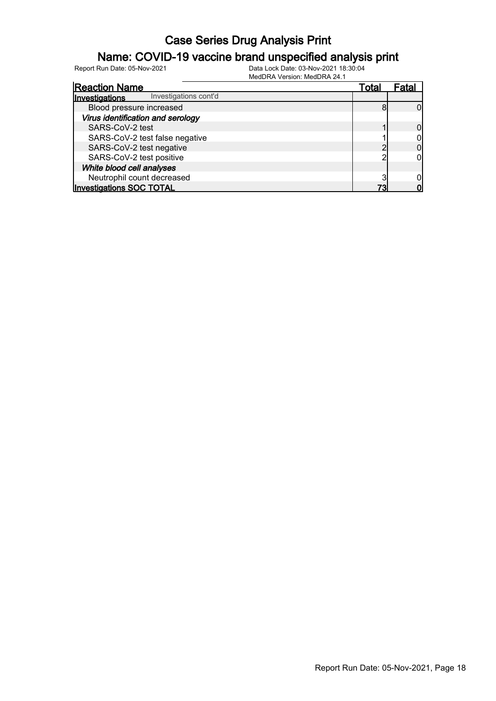### Name: COVID-19 vaccine brand unspecified analysis print

| <b>Reaction Name</b>                    | Total | Fatal |
|-----------------------------------------|-------|-------|
| Investigations cont'd<br>Investigations |       |       |
| Blood pressure increased                |       |       |
| Virus identification and serology       |       |       |
| SARS-CoV-2 test                         |       |       |
| SARS-CoV-2 test false negative          |       |       |
| SARS-CoV-2 test negative                |       |       |
| SARS-CoV-2 test positive                |       |       |
| White blood cell analyses               |       |       |
| Neutrophil count decreased              |       |       |
| <b>Investigations SOC TOTAL</b>         | 72    |       |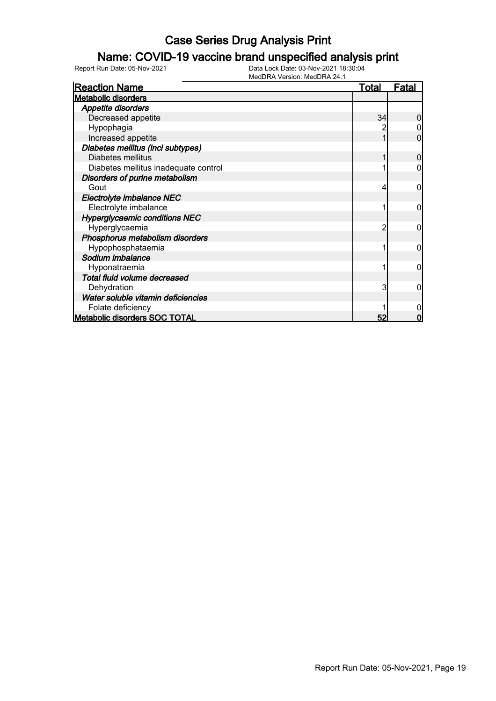### Name: COVID-19 vaccine brand unspecified analysis print

| <b>Reaction Name</b>                 | <u>Total</u> | <u>Fatal</u> |
|--------------------------------------|--------------|--------------|
| <b>Metabolic disorders</b>           |              |              |
| <b>Appetite disorders</b>            |              |              |
| Decreased appetite                   | 34           |              |
| Hypophagia                           |              |              |
| Increased appetite                   |              | 0            |
| Diabetes mellitus (incl subtypes)    |              |              |
| Diabetes mellitus                    |              | 0            |
| Diabetes mellitus inadequate control |              | ი            |
| Disorders of purine metabolism       |              |              |
| Gout                                 | 4            | 0            |
| Electrolyte imbalance NEC            |              |              |
| Electrolyte imbalance                |              | 0            |
| <b>Hyperglycaemic conditions NEC</b> |              |              |
| Hyperglycaemia                       |              | 0            |
| Phosphorus metabolism disorders      |              |              |
| Hypophosphataemia                    |              | 0            |
| Sodium imbalance                     |              |              |
| Hyponatraemia                        |              | 0            |
| Total fluid volume decreased         |              |              |
| Dehydration                          | 3            | 0            |
| Water soluble vitamin deficiencies   |              |              |
| Folate deficiency                    |              |              |
| Metabolic disorders SOC TOTAL        | 52           | 0            |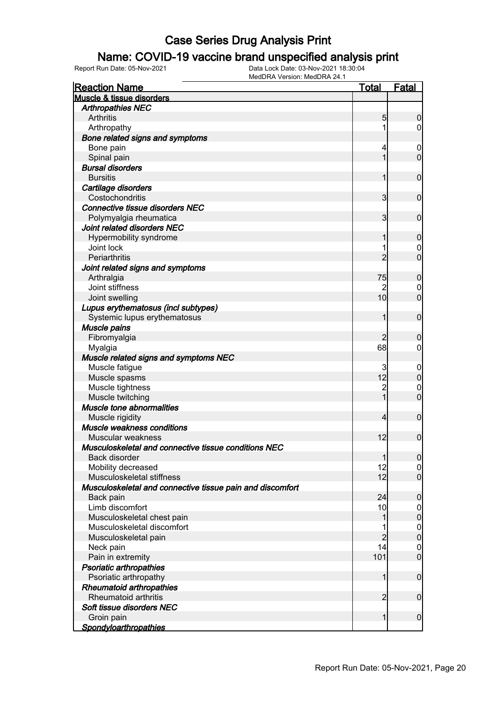### Name: COVID-19 vaccine brand unspecified analysis print

| <b>Reaction Name</b>                                      | <u>Total</u>    | <b>Fatal</b>     |
|-----------------------------------------------------------|-----------------|------------------|
| Muscle & tissue disorders                                 |                 |                  |
| <b>Arthropathies NEC</b>                                  |                 |                  |
| Arthritis                                                 | 5               | $\boldsymbol{0}$ |
| Arthropathy                                               | 1               | $\overline{0}$   |
| Bone related signs and symptoms                           |                 |                  |
| Bone pain                                                 | 4               | $\mathbf 0$      |
| Spinal pain                                               | 1               | $\mathbf 0$      |
| <b>Bursal disorders</b>                                   |                 |                  |
| <b>Bursitis</b>                                           | 1               | $\mathbf 0$      |
| Cartilage disorders                                       |                 |                  |
| Costochondritis                                           | 3               | $\mathbf 0$      |
| <b>Connective tissue disorders NEC</b>                    |                 |                  |
| Polymyalgia rheumatica                                    | 3               | $\mathbf 0$      |
| Joint related disorders NEC                               |                 |                  |
| Hypermobility syndrome                                    | 1               | $\boldsymbol{0}$ |
| Joint lock                                                | 1               | $\mathbf 0$      |
| Periarthritis                                             | $\overline{2}$  | $\overline{0}$   |
| Joint related signs and symptoms                          |                 |                  |
| Arthralgia                                                | 75              | $\boldsymbol{0}$ |
| Joint stiffness                                           |                 | $\mathbf 0$      |
| Joint swelling                                            | 10 <sup>1</sup> | $\overline{0}$   |
| Lupus erythematosus (incl subtypes)                       |                 |                  |
| Systemic lupus erythematosus                              | 1               | $\mathbf 0$      |
| Muscle pains                                              |                 |                  |
| Fibromyalgia                                              | 2               | $\mathbf 0$      |
| Myalgia                                                   | 68              | $\overline{0}$   |
| Muscle related signs and symptoms NEC                     |                 |                  |
| Muscle fatigue                                            | 3               | $\mathbf 0$      |
| Muscle spasms                                             | 12              | $\pmb{0}$        |
| Muscle tightness                                          | $\overline{c}$  | $\mathbf 0$      |
| Muscle twitching                                          | $\overline{1}$  | $\overline{0}$   |
| Muscle tone abnormalities                                 |                 |                  |
| Muscle rigidity                                           | $\overline{4}$  | $\mathbf 0$      |
| Muscle weakness conditions                                |                 |                  |
| Muscular weakness                                         | 12              | $\mathbf 0$      |
| Musculoskeletal and connective tissue conditions NEC      |                 |                  |
| Back disorder                                             | $\mathbf{1}$    | 0                |
| Mobility decreased                                        | 12              | 0                |
| Musculoskeletal stiffness                                 | 12              | $\overline{0}$   |
| Musculoskeletal and connective tissue pain and discomfort |                 |                  |
| Back pain                                                 | 24              | $\boldsymbol{0}$ |
| Limb discomfort                                           | 10              | $\mathbf 0$      |
| Musculoskeletal chest pain                                | 1               | $\pmb{0}$        |
| Musculoskeletal discomfort                                |                 | $\boldsymbol{0}$ |
| Musculoskeletal pain                                      | $\overline{c}$  | $\mathbf 0$      |
| Neck pain                                                 | 14              | $\mathbf 0$      |
| Pain in extremity                                         | 101             | $\boldsymbol{0}$ |
| Psoriatic arthropathies                                   |                 |                  |
| Psoriatic arthropathy                                     | $\mathbf{1}$    | $\boldsymbol{0}$ |
| <b>Rheumatoid arthropathies</b><br>Rheumatoid arthritis   |                 |                  |
|                                                           | $\overline{2}$  | $\boldsymbol{0}$ |
| Soft tissue disorders NEC                                 |                 |                  |
| Groin pain                                                | 1               | $\boldsymbol{0}$ |
| <b>Spondyloarthropathies</b>                              |                 |                  |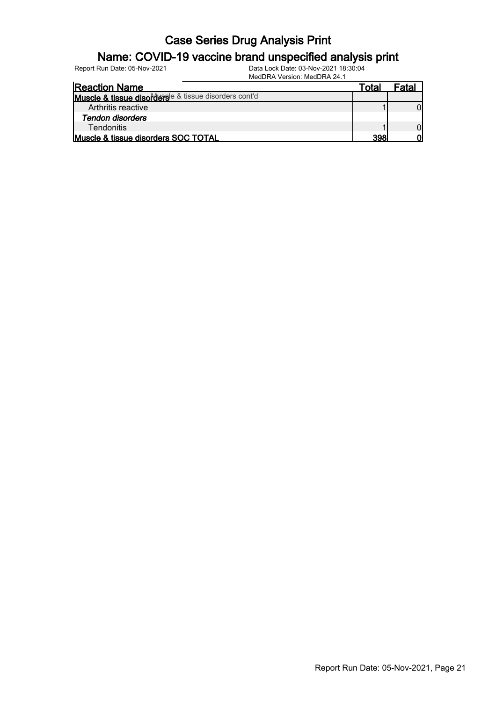#### Name: COVID-19 vaccine brand unspecified analysis print

| $m$ cucin $\pi$ v chaluit ivicul in $\pi$ $\epsilon$ + i |       |       |
|----------------------------------------------------------|-------|-------|
| <b>Reaction Name</b>                                     | Totar | Fatal |
| Muscle & tissue disordersle & tissue disorders cont'd    |       |       |
| Arthritis reactive                                       |       |       |
| Tendon disorders                                         |       |       |
| <b>Tendonitis</b>                                        |       |       |
| Muscle & tissue disorders SOC TOTAL                      | 398   |       |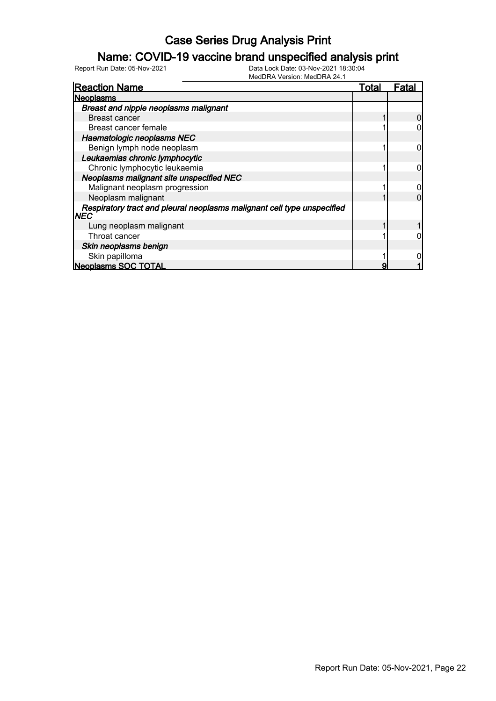### Name: COVID-19 vaccine brand unspecified analysis print

| <b>Reaction Name</b>                                                                   | Total | Fata |
|----------------------------------------------------------------------------------------|-------|------|
| <b>Neoplasms</b>                                                                       |       |      |
| Breast and nipple neoplasms malignant                                                  |       |      |
| Breast cancer                                                                          |       |      |
| Breast cancer female                                                                   |       |      |
| Haematologic neoplasms NEC                                                             |       |      |
| Benign lymph node neoplasm                                                             |       |      |
| Leukaemias chronic lymphocytic                                                         |       |      |
| Chronic lymphocytic leukaemia                                                          |       |      |
| Neoplasms malignant site unspecified NEC                                               |       |      |
| Malignant neoplasm progression                                                         |       |      |
| Neoplasm malignant                                                                     |       |      |
| Respiratory tract and pleural neoplasms malignant cell type unspecified<br><b>INEC</b> |       |      |
| Lung neoplasm malignant                                                                |       |      |
| Throat cancer                                                                          |       |      |
| Skin neoplasms benign                                                                  |       |      |
| Skin papilloma                                                                         |       |      |
| <b>Neoplasms SOC TOTAL</b>                                                             | 9     |      |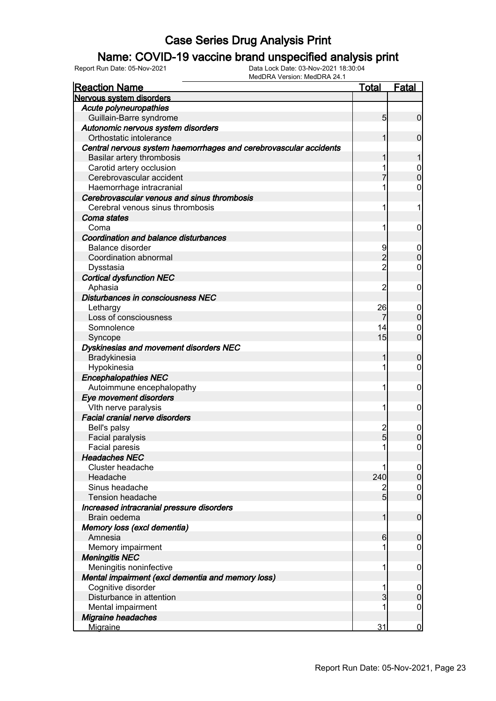### Name: COVID-19 vaccine brand unspecified analysis print

| <b>Reaction Name</b>                                              | <b>Total</b>    | Fatal            |
|-------------------------------------------------------------------|-----------------|------------------|
| Nervous system disorders                                          |                 |                  |
| <b>Acute polyneuropathies</b>                                     |                 |                  |
| Guillain-Barre syndrome                                           | $5\overline{)}$ | $\overline{0}$   |
| Autonomic nervous system disorders                                |                 |                  |
| Orthostatic intolerance                                           | 1               | 0                |
| Central nervous system haemorrhages and cerebrovascular accidents |                 |                  |
| Basilar artery thrombosis                                         | 1               | 1                |
| Carotid artery occlusion                                          |                 | $\boldsymbol{0}$ |
| Cerebrovascular accident                                          |                 | $\boldsymbol{0}$ |
| Haemorrhage intracranial                                          |                 | 0                |
| Cerebrovascular venous and sinus thrombosis                       |                 |                  |
| Cerebral venous sinus thrombosis                                  | 1               | 1                |
| Coma states                                                       |                 |                  |
| Coma                                                              | 1               | $\mathbf 0$      |
| Coordination and balance disturbances                             |                 |                  |
| <b>Balance disorder</b>                                           | 9               | $\mathbf 0$      |
| Coordination abnormal                                             | $\overline{2}$  | $\boldsymbol{0}$ |
| Dysstasia                                                         | $\overline{2}$  | $\mathbf 0$      |
| <b>Cortical dysfunction NEC</b>                                   |                 |                  |
| Aphasia                                                           | $\overline{2}$  | $\mathbf 0$      |
| Disturbances in consciousness NEC                                 |                 |                  |
| Lethargy                                                          | 26              | $\boldsymbol{0}$ |
| Loss of consciousness                                             | 7               | $\pmb{0}$        |
| Somnolence                                                        | 14              | 0                |
| Syncope                                                           | 15              | $\mathbf 0$      |
| Dyskinesias and movement disorders NEC                            |                 |                  |
| Bradykinesia                                                      | 1               | $\boldsymbol{0}$ |
| Hypokinesia                                                       | 1               | $\mathbf 0$      |
| <b>Encephalopathies NEC</b>                                       |                 |                  |
| Autoimmune encephalopathy                                         | 1               | $\mathbf 0$      |
| Eye movement disorders                                            |                 |                  |
| Vith nerve paralysis                                              | 1               | $\mathbf 0$      |
| <b>Facial cranial nerve disorders</b>                             |                 |                  |
| Bell's palsy                                                      | $\overline{c}$  | $\mathbf 0$      |
| Facial paralysis                                                  | 5               | $\mathbf 0$      |
| Facial paresis                                                    | 1               | 0                |
| <b>Headaches NEC</b>                                              |                 |                  |
| Cluster headache                                                  |                 | $\overline{0}$   |
| Headache                                                          | 240             | $\mathbf 0$      |
| Sinus headache                                                    | 2               | $\overline{0}$   |
| Tension headache                                                  | $5\overline{)}$ | $\overline{0}$   |
| Increased intracranial pressure disorders                         |                 |                  |
| Brain oedema                                                      | 1               | $\boldsymbol{0}$ |
| Memory loss (excl dementia)                                       |                 |                  |
| Amnesia                                                           | 6               | $\mathbf 0$      |
| Memory impairment                                                 |                 | 0                |
| <b>Meningitis NEC</b>                                             |                 |                  |
| Meningitis noninfective                                           | 1               | $\mathbf 0$      |
| Mental impairment (excl dementia and memory loss)                 |                 |                  |
| Cognitive disorder                                                | 1               | $\boldsymbol{0}$ |
| Disturbance in attention                                          | 3               | $\mathbf 0$      |
| Mental impairment                                                 |                 | $\mathbf 0$      |
| Migraine headaches                                                |                 |                  |
| Migraine                                                          | 31              | $\bf{0}$         |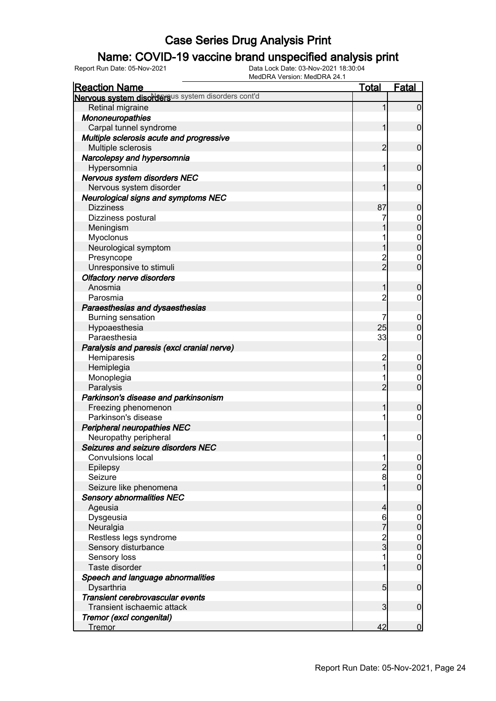### Name: COVID-19 vaccine brand unspecified analysis print

| <b>Reaction Name</b>                               | <b>Total</b>   | <b>Fatal</b>     |
|----------------------------------------------------|----------------|------------------|
| Nervous system disordersus system disorders cont'd |                |                  |
| Retinal migraine                                   | 1              | $\overline{0}$   |
| Mononeuropathies                                   |                |                  |
| Carpal tunnel syndrome                             |                | $\mathbf 0$      |
| Multiple sclerosis acute and progressive           |                |                  |
| Multiple sclerosis                                 | 2              | $\mathbf 0$      |
| Narcolepsy and hypersomnia                         |                |                  |
| Hypersomnia                                        |                | $\mathbf 0$      |
| Nervous system disorders NEC                       |                |                  |
| Nervous system disorder                            |                | $\mathbf 0$      |
| Neurological signs and symptoms NEC                |                |                  |
| <b>Dizziness</b>                                   | 87             | $\mathbf 0$      |
| Dizziness postural                                 |                | $\boldsymbol{0}$ |
| Meningism                                          |                | $\overline{0}$   |
| Myoclonus                                          |                | $\mathbf{0}$     |
| Neurological symptom                               |                | $\overline{0}$   |
| Presyncope                                         |                | $\mathbf 0$      |
| Unresponsive to stimuli                            | $\overline{2}$ | $\mathbf 0$      |
| Olfactory nerve disorders                          |                |                  |
| Anosmia                                            |                | $\mathbf 0$      |
| Parosmia                                           | $\overline{c}$ | 0                |
| Paraesthesias and dysaesthesias                    |                |                  |
| <b>Burning sensation</b>                           |                | $\overline{0}$   |
| Hypoaesthesia                                      | 25             | $\overline{0}$   |
| Paraesthesia                                       | 33             | 0                |
| Paralysis and paresis (excl cranial nerve)         |                |                  |
| Hemiparesis                                        |                | $\overline{0}$   |
| Hemiplegia                                         | $\overline{1}$ | $\mathbf 0$      |
| Monoplegia                                         |                | $\overline{0}$   |
| Paralysis                                          | $\overline{2}$ | $\mathbf 0$      |
| Parkinson's disease and parkinsonism               |                |                  |
| Freezing phenomenon                                |                | $\mathbf 0$      |
| Parkinson's disease                                |                | 0                |
| <b>Peripheral neuropathies NEC</b>                 |                |                  |
| Neuropathy peripheral                              |                | $\mathbf 0$      |
| Seizures and seizure disorders NEC                 |                |                  |
| <b>Convulsions local</b>                           |                | 0                |
| Epilepsy                                           | $\overline{2}$ | $\overline{0}$   |
| Seizure                                            | 8              | $\mathbf 0$      |
| Seizure like phenomena                             |                | $\overline{0}$   |
| <b>Sensory abnormalities NEC</b>                   |                |                  |
| Ageusia                                            | 4              | $\boldsymbol{0}$ |
| Dysgeusia                                          | 6              | $\mathbf 0$      |
| Neuralgia                                          | $\overline{7}$ | $\mathbf 0$      |
| Restless legs syndrome                             |                | $\mathbf{0}$     |
| Sensory disturbance                                | $\frac{2}{3}$  | $\overline{0}$   |
| Sensory loss                                       |                | $\mathbf 0$      |
| Taste disorder                                     |                | $\overline{0}$   |
| Speech and language abnormalities                  |                |                  |
| Dysarthria                                         | 5 <sub>5</sub> | $\mathbf 0$      |
| Transient cerebrovascular events                   |                |                  |
| Transient ischaemic attack                         | 3              | $\boldsymbol{0}$ |
| Tremor (excl congenital)                           |                |                  |
| <b>Tremor</b>                                      | 42             | $\mathbf 0$      |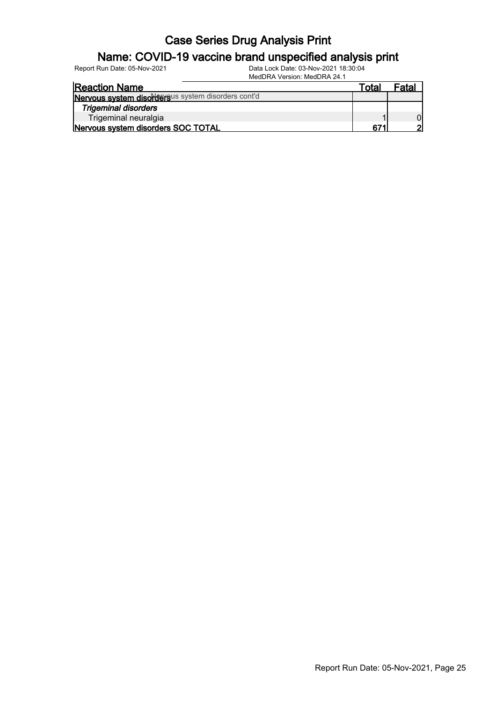# Name: COVID-19 vaccine brand unspecified analysis print

| Report Run Date: 05-Nov-2021                       | Data Lock Date: 03-Nov-2021 18:30:04<br>MedDRA Version: MedDRA 24.1 |       |       |
|----------------------------------------------------|---------------------------------------------------------------------|-------|-------|
| <b>Reaction Name</b>                               |                                                                     | Total | Fatal |
| Nervous system disordersus system disorders cont'd |                                                                     |       |       |
| <b>Trigeminal disorders</b>                        |                                                                     |       |       |
|                                                    |                                                                     |       |       |

Trigeminal neuralgia<br>
1 0<br> **Trigeminal neuralgia** 1 0<br> **Privous system disorders SOC TOTAL** Nervous system disorders SOC TOTAL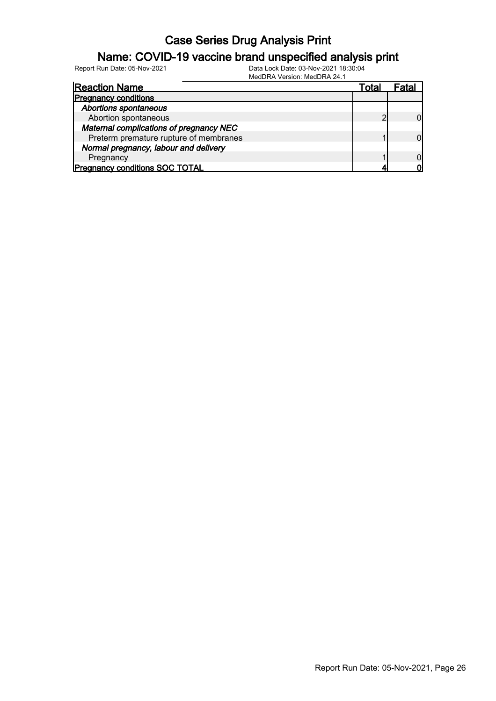### Name: COVID-19 vaccine brand unspecified analysis print

Report Run Date: 05-Nov-2021 Data Lock Date: 03-Nov-2021 18:30:04

MedDRA Version: MedDRA 24.1

| <b>Reaction Name</b>                    | Total |  |
|-----------------------------------------|-------|--|
| <b>Pregnancy conditions</b>             |       |  |
| <b>Abortions spontaneous</b>            |       |  |
| Abortion spontaneous                    |       |  |
| Maternal complications of pregnancy NEC |       |  |
| Preterm premature rupture of membranes  |       |  |
| Normal pregnancy, labour and delivery   |       |  |
| Pregnancy                               |       |  |
| <b>Pregnancy conditions SOC TOTAL</b>   |       |  |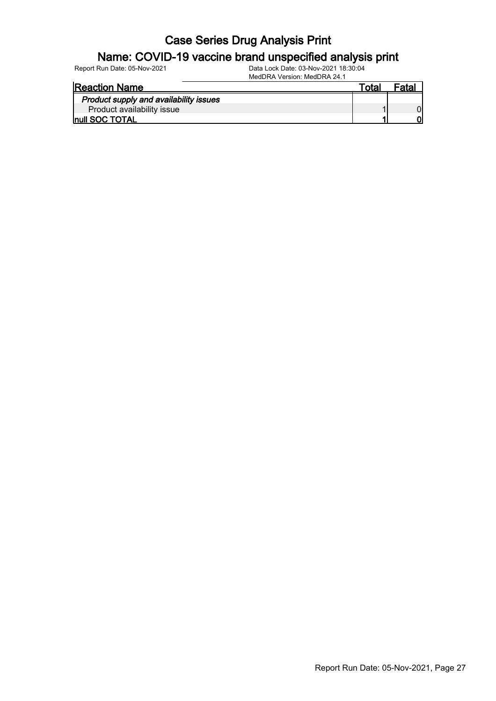#### Name: COVID-19 vaccine brand unspecified analysis print

| <b>Reaction Name</b>                   | ™ota⊧ | Fatal |
|----------------------------------------|-------|-------|
| Product supply and availability issues |       |       |
| Product availability issue             |       |       |
| Inull SOC TOTAL                        |       |       |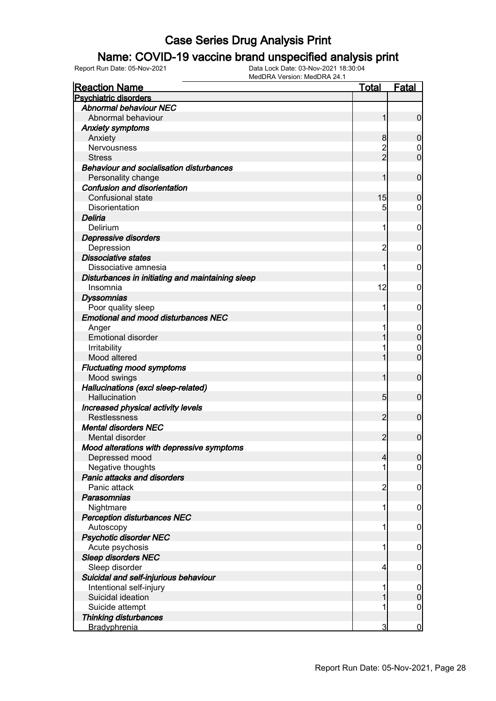### Name: COVID-19 vaccine brand unspecified analysis print

| <b>Reaction Name</b>                             | <b>Total</b>    | <b>Fatal</b>     |
|--------------------------------------------------|-----------------|------------------|
| <b>Psychiatric disorders</b>                     |                 |                  |
| <b>Abnormal behaviour NEC</b>                    |                 |                  |
| Abnormal behaviour                               | 1               | $\mathbf 0$      |
| <b>Anxiety symptoms</b>                          |                 |                  |
| Anxiety                                          | 8               | $\boldsymbol{0}$ |
| Nervousness                                      |                 | 0                |
| <b>Stress</b>                                    | $\overline{2}$  | $\overline{0}$   |
| <b>Behaviour and socialisation disturbances</b>  |                 |                  |
| Personality change                               | 1               | $\mathbf 0$      |
| Confusion and disorientation                     |                 |                  |
| Confusional state                                | 15              | $\boldsymbol{0}$ |
| Disorientation                                   | 5               | 0                |
| Deliria                                          |                 |                  |
| Delirium                                         | 1               | 0                |
| Depressive disorders                             |                 |                  |
| Depression                                       | 2               | 0                |
| <b>Dissociative states</b>                       |                 |                  |
| Dissociative amnesia                             | 1               | 0                |
| Disturbances in initiating and maintaining sleep |                 |                  |
| Insomnia                                         | 12              | 0                |
| <b>Dyssomnias</b>                                |                 |                  |
| Poor quality sleep                               | 1               | 0                |
| <b>Emotional and mood disturbances NEC</b>       |                 |                  |
| Anger                                            |                 | 0                |
| <b>Emotional disorder</b>                        |                 | $\pmb{0}$        |
| Irritability                                     |                 | 0                |
| Mood altered                                     |                 | $\overline{0}$   |
| <b>Fluctuating mood symptoms</b>                 |                 |                  |
| Mood swings                                      | 1               | $\mathbf 0$      |
| Hallucinations (excl sleep-related)              |                 |                  |
| Hallucination                                    | $5\overline{)}$ | $\mathbf 0$      |
| Increased physical activity levels               |                 |                  |
| <b>Restlessness</b>                              | $\overline{2}$  | $\mathbf 0$      |
| <b>Mental disorders NEC</b>                      |                 |                  |
| Mental disorder                                  | $\overline{2}$  | $\mathbf 0$      |
| Mood alterations with depressive symptoms        |                 |                  |
| Depressed mood                                   | $\overline{4}$  | $\overline{0}$   |
| Negative thoughts                                |                 | $\overline{0}$   |
| Panic attacks and disorders                      |                 |                  |
| Panic attack                                     | 2               | $\mathbf 0$      |
| Parasomnias                                      |                 |                  |
| Nightmare                                        | 1               | $\mathbf 0$      |
| <b>Perception disturbances NEC</b>               |                 |                  |
| Autoscopy                                        | 1               | $\mathbf 0$      |
| <b>Psychotic disorder NEC</b>                    |                 |                  |
| Acute psychosis                                  | 1               | $\mathbf 0$      |
| <b>Sleep disorders NEC</b>                       |                 |                  |
| Sleep disorder                                   | 4               | $\mathbf 0$      |
| Suicidal and self-injurious behaviour            |                 |                  |
| Intentional self-injury                          |                 | $\mathbf 0$      |
| Suicidal ideation                                |                 | $\pmb{0}$        |
| Suicide attempt                                  |                 | $\boldsymbol{0}$ |
| <b>Thinking disturbances</b>                     |                 |                  |
| Bradyphrenia                                     | $\overline{3}$  | $\bf{0}$         |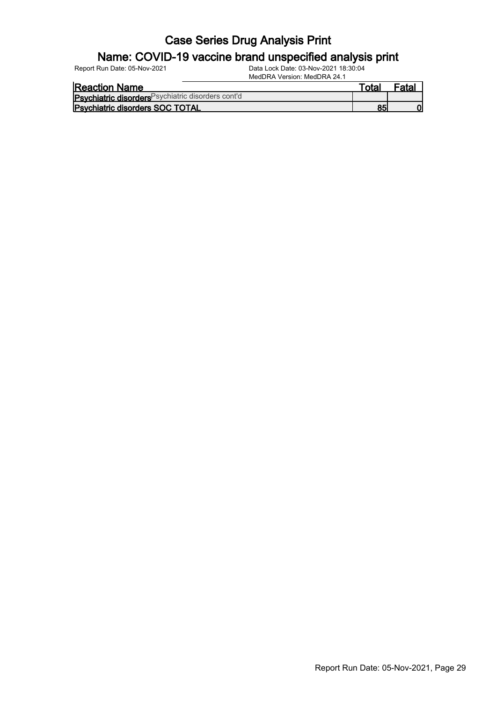#### Name: COVID-19 vaccine brand unspecified analysis print

| <b>Reaction Name</b>                               | ™ota⊫ | <sup>=</sup> atal |
|----------------------------------------------------|-------|-------------------|
| Psychiatric disorders Psychiatric disorders cont'd |       |                   |
| <b>Psychiatric disorders SOC TOTAL</b>             |       |                   |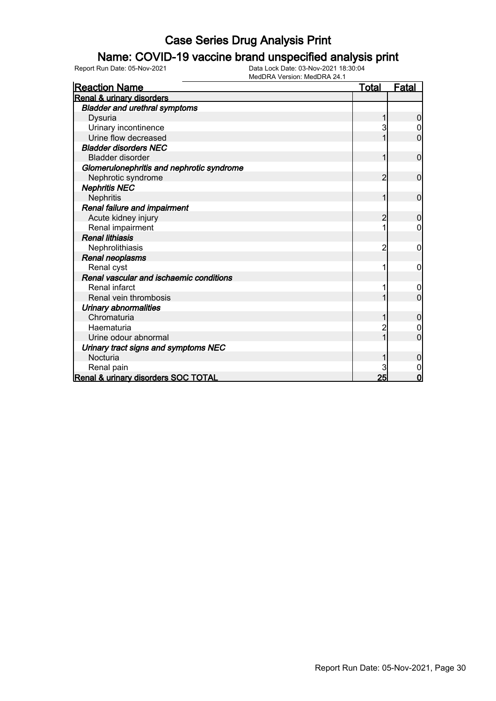### Name: COVID-19 vaccine brand unspecified analysis print

| <b>Reaction Name</b>                      | <u>Total</u> | <b>Fatal</b>   |
|-------------------------------------------|--------------|----------------|
| Renal & urinary disorders                 |              |                |
| <b>Bladder and urethral symptoms</b>      |              |                |
| Dysuria                                   |              | 0              |
| Urinary incontinence                      |              |                |
| Urine flow decreased                      |              | 0              |
| <b>Bladder disorders NEC</b>              |              |                |
| <b>Bladder disorder</b>                   |              | 0              |
| Glomerulonephritis and nephrotic syndrome |              |                |
| Nephrotic syndrome                        | 2            | 0              |
| <b>Nephritis NEC</b>                      |              |                |
| <b>Nephritis</b>                          |              | 0              |
| Renal failure and impairment              |              |                |
| Acute kidney injury                       | 2            | $\overline{0}$ |
| Renal impairment                          |              | 0              |
| <b>Renal lithiasis</b>                    |              |                |
| Nephrolithiasis                           | 2            | 0              |
| Renal neoplasms                           |              |                |
| Renal cyst                                |              | 0              |
| Renal vascular and ischaemic conditions   |              |                |
| Renal infarct                             |              | 0              |
| Renal vein thrombosis                     |              | $\overline{0}$ |
| <b>Urinary abnormalities</b>              |              |                |
| Chromaturia                               |              | 0              |
| Haematuria                                |              |                |
| Urine odour abnormal                      |              | 0              |
| Urinary tract signs and symptoms NEC      |              |                |
| Nocturia                                  |              | 0              |
| Renal pain                                |              |                |
| Renal & urinary disorders SOC TOTAL       | 25           | 0              |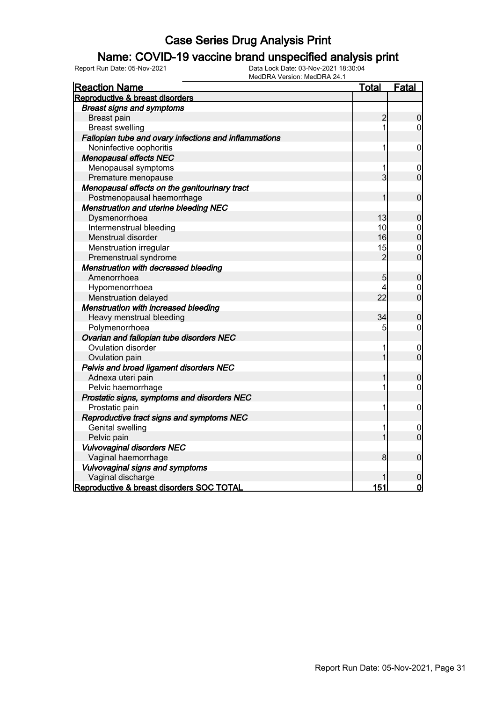### Name: COVID-19 vaccine brand unspecified analysis print

| <b>Reaction Name</b>                                  | <u>Total</u>   | Fatal            |
|-------------------------------------------------------|----------------|------------------|
| Reproductive & breast disorders                       |                |                  |
| <b>Breast signs and symptoms</b>                      |                |                  |
| Breast pain                                           | $\overline{c}$ | 0                |
| <b>Breast swelling</b>                                | 1              | 0                |
| Fallopian tube and ovary infections and inflammations |                |                  |
| Noninfective oophoritis                               | 1              | $\mathbf 0$      |
| <b>Menopausal effects NEC</b>                         |                |                  |
| Menopausal symptoms                                   | 1              | 0                |
| Premature menopause                                   | $\overline{3}$ | $\overline{0}$   |
| Menopausal effects on the genitourinary tract         |                |                  |
| Postmenopausal haemorrhage                            | 1              | $\boldsymbol{0}$ |
| Menstruation and uterine bleeding NEC                 |                |                  |
| Dysmenorrhoea                                         | 13             | $\mathbf 0$      |
| Intermenstrual bleeding                               | 10             | $\mathbf 0$      |
| Menstrual disorder                                    | 16             | $\overline{0}$   |
| Menstruation irregular                                | 15             | $\mathbf{0}$     |
| Premenstrual syndrome                                 | $\overline{2}$ | $\overline{0}$   |
| Menstruation with decreased bleeding                  |                |                  |
| Amenorrhoea                                           | 5              | $\boldsymbol{0}$ |
| Hypomenorrhoea                                        | 4              | $\boldsymbol{0}$ |
| Menstruation delayed                                  | 22             | $\overline{0}$   |
| Menstruation with increased bleeding                  |                |                  |
| Heavy menstrual bleeding                              | 34             | $\overline{0}$   |
| Polymenorrhoea                                        | 5              | $\pmb{0}$        |
| Ovarian and fallopian tube disorders NEC              |                |                  |
| Ovulation disorder                                    | 1              | $\mathbf 0$      |
| Ovulation pain                                        | 1              | $\overline{0}$   |
| Pelvis and broad ligament disorders NEC               |                |                  |
| Adnexa uteri pain                                     | 1              | $\mathbf 0$      |
| Pelvic haemorrhage                                    | 1              | $\mathbf 0$      |
| Prostatic signs, symptoms and disorders NEC           |                |                  |
| Prostatic pain                                        | 1              | $\mathbf 0$      |
| Reproductive tract signs and symptoms NEC             |                |                  |
| Genital swelling                                      | 1              | 0                |
| Pelvic pain                                           | 1              | $\overline{0}$   |
| <b>Vulvovaginal disorders NEC</b>                     |                |                  |
| Vaginal haemorrhage                                   | 8              | $\boldsymbol{0}$ |
| <b>Vulvovaginal signs and symptoms</b>                |                |                  |
| Vaginal discharge                                     |                | $\mathbf 0$      |
| Reproductive & breast disorders SOC TOTAL             | 151            | $\overline{0}$   |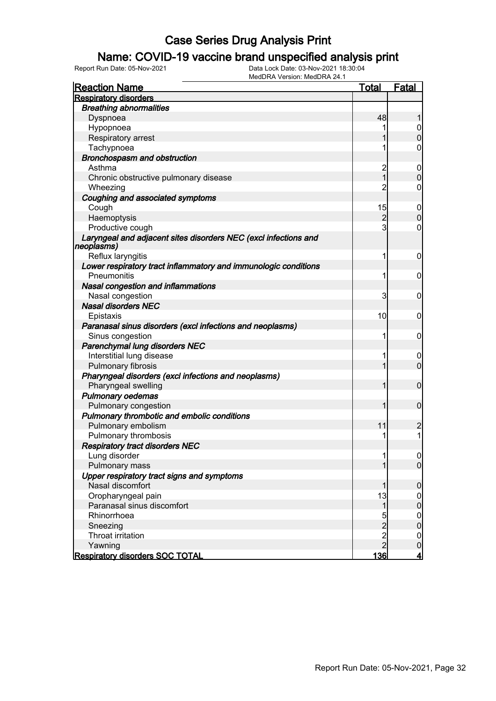### Name: COVID-19 vaccine brand unspecified analysis print

| <b>Reaction Name</b>                                            | Total          | Fatal            |
|-----------------------------------------------------------------|----------------|------------------|
| <b>Respiratory disorders</b>                                    |                |                  |
| <b>Breathing abnormalities</b>                                  |                |                  |
| Dyspnoea                                                        | 48             |                  |
| Hypopnoea                                                       |                | 0                |
| Respiratory arrest                                              |                | $\overline{0}$   |
| Tachypnoea                                                      |                | 0                |
| Bronchospasm and obstruction                                    |                |                  |
| Asthma                                                          | 2              | 0                |
| Chronic obstructive pulmonary disease                           | $\overline{1}$ | $\mathbf 0$      |
| Wheezing                                                        | $\overline{2}$ | 0                |
| Coughing and associated symptoms                                |                |                  |
| Cough                                                           | 15             | 0                |
| Haemoptysis                                                     | $\overline{c}$ | $\mathbf 0$      |
| Productive cough                                                | $\mathbf{3}$   | 0                |
| Laryngeal and adjacent sites disorders NEC (excl infections and |                |                  |
| neoplasms)                                                      |                |                  |
| Reflux laryngitis                                               | 1              | $\mathbf 0$      |
| Lower respiratory tract inflammatory and immunologic conditions |                |                  |
| Pneumonitis                                                     | 1              | $\mathbf 0$      |
| Nasal congestion and inflammations                              |                |                  |
| Nasal congestion                                                | 3              | 0                |
| <b>Nasal disorders NEC</b>                                      |                |                  |
| Epistaxis                                                       | 10             | 0                |
| Paranasal sinus disorders (excl infections and neoplasms)       |                |                  |
| Sinus congestion                                                | 1              | 0                |
| Parenchymal lung disorders NEC                                  |                |                  |
| Interstitial lung disease                                       | 1              | 0                |
| Pulmonary fibrosis                                              | 1              | $\overline{0}$   |
| Pharyngeal disorders (excl infections and neoplasms)            |                |                  |
| Pharyngeal swelling                                             | 1              | $\mathbf 0$      |
| <b>Pulmonary oedemas</b>                                        |                |                  |
| Pulmonary congestion                                            | 1              | $\mathbf 0$      |
| Pulmonary thrombotic and embolic conditions                     |                |                  |
| Pulmonary embolism                                              | 11             | $\overline{c}$   |
| Pulmonary thrombosis                                            | 1              | 1                |
| <b>Respiratory tract disorders NEC</b>                          |                |                  |
| Lung disorder                                                   | 11             | $\overline{0}$   |
| Pulmonary mass                                                  |                | $\overline{0}$   |
| Upper respiratory tract signs and symptoms                      |                |                  |
| Nasal discomfort                                                |                | 0                |
| Oropharyngeal pain                                              | 13             | $\overline{0}$   |
| Paranasal sinus discomfort                                      | $\mathbf{1}$   | $\boldsymbol{0}$ |
| Rhinorrhoea                                                     | 5              | $\mathbf 0$      |
| Sneezing                                                        | $\overline{2}$ | $\boldsymbol{0}$ |
| Throat irritation                                               |                | $\overline{0}$   |
| Yawning                                                         | $\frac{2}{2}$  | $\pmb{0}$        |
| <b>Respiratory disorders SOC TOTAL</b>                          | <u>136</u>     | <u>4</u>         |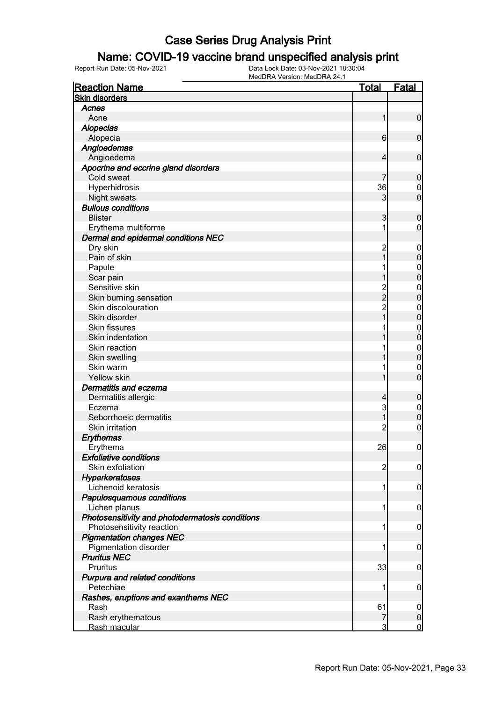### Name: COVID-19 vaccine brand unspecified analysis print

| <b>Reaction Name</b>                            | <b>Total</b>                               | <b>Fatal</b>     |
|-------------------------------------------------|--------------------------------------------|------------------|
| <b>Skin disorders</b>                           |                                            |                  |
| Acnes                                           |                                            |                  |
| Acne                                            | 1                                          | $\mathbf 0$      |
| <b>Alopecias</b>                                |                                            |                  |
| Alopecia                                        | 6                                          | $\mathbf 0$      |
| Angioedemas                                     |                                            |                  |
| Angioedema                                      | 4                                          | $\mathbf 0$      |
| Apocrine and eccrine gland disorders            |                                            |                  |
| Cold sweat                                      |                                            | $\mathbf 0$      |
| Hyperhidrosis                                   | 36                                         | $\boldsymbol{0}$ |
| <b>Night sweats</b>                             | 3                                          | $\overline{0}$   |
| <b>Bullous conditions</b>                       |                                            |                  |
| <b>Blister</b>                                  | 3                                          | $\mathbf 0$      |
| Erythema multiforme                             | 1                                          | $\mathbf 0$      |
| Dermal and epidermal conditions NEC             |                                            |                  |
| Dry skin                                        | $\overline{c}$                             | $\mathbf 0$      |
| Pain of skin                                    | 1                                          | $\mathbf 0$      |
| Papule                                          |                                            | $\boldsymbol{0}$ |
| Scar pain                                       |                                            | $\mathbf 0$      |
| Sensitive skin                                  |                                            | $\mathbf{0}$     |
| Skin burning sensation                          | $\begin{array}{c} 2 \\ 2 \\ 2 \end{array}$ | $\mathbf 0$      |
| Skin discolouration                             |                                            | $\mathbf{0}$     |
| Skin disorder                                   | $\overline{1}$                             | $\mathbf 0$      |
| <b>Skin fissures</b>                            |                                            | $\mathbf{0}$     |
| Skin indentation                                |                                            | $\mathbf 0$      |
| Skin reaction                                   |                                            | $\mathbf{0}$     |
| Skin swelling                                   |                                            | $\mathbf 0$      |
| Skin warm                                       |                                            | $\boldsymbol{0}$ |
| Yellow skin                                     |                                            | $\overline{0}$   |
| Dermatitis and eczema                           |                                            |                  |
| Dermatitis allergic                             | $\overline{4}$                             | $\mathbf 0$      |
| Eczema                                          | 3                                          | $\mathbf 0$      |
| Seborrhoeic dermatitis                          | 1                                          | $\mathbf 0$      |
| Skin irritation                                 | 2                                          | $\boldsymbol{0}$ |
| Erythemas                                       |                                            |                  |
| Erythema                                        | 26                                         | $\mathbf 0$      |
| <b>Exfoliative conditions</b>                   |                                            |                  |
| Skin exfoliation                                | $\overline{c}$                             | $\overline{0}$   |
| <b>Hyperkeratoses</b>                           |                                            |                  |
| Lichenoid keratosis                             | 1                                          | $\mathbf 0$      |
| Papulosquamous conditions                       |                                            |                  |
| Lichen planus                                   | 1                                          | $\mathbf 0$      |
| Photosensitivity and photodermatosis conditions |                                            |                  |
| Photosensitivity reaction                       | 1                                          | $\mathbf 0$      |
| <b>Pigmentation changes NEC</b>                 |                                            |                  |
| Pigmentation disorder                           | 1                                          | $\mathbf 0$      |
| <b>Pruritus NEC</b>                             |                                            |                  |
| Pruritus                                        | 33                                         | $\mathbf 0$      |
| Purpura and related conditions                  |                                            |                  |
| Petechiae                                       | 1                                          | $\mathbf 0$      |
| Rashes, eruptions and exanthems NEC             |                                            |                  |
| Rash                                            | 61                                         | 0                |
| Rash erythematous                               | 7                                          | $\pmb{0}$        |
| Rash macular                                    | 3                                          | $\overline{0}$   |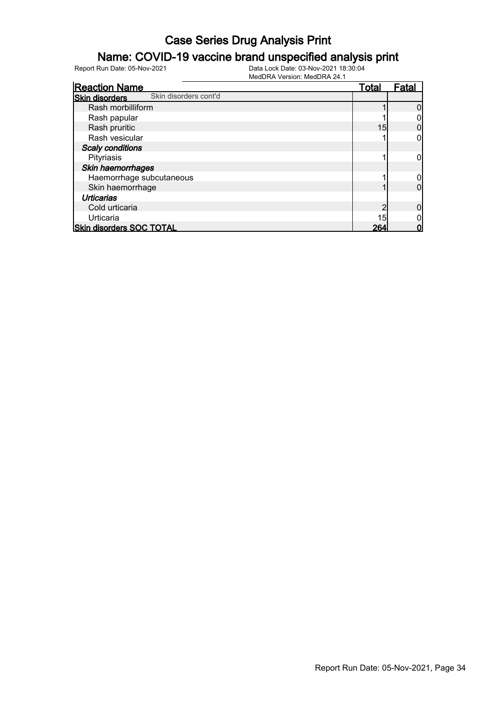### Name: COVID-19 vaccine brand unspecified analysis print

| <b>Reaction Name</b>                           | <u>Total</u>    | <b>Fatal</b> |
|------------------------------------------------|-----------------|--------------|
| Skin disorders cont'd<br><b>Skin disorders</b> |                 |              |
| Rash morbilliform                              |                 |              |
| Rash papular                                   |                 |              |
| Rash pruritic                                  | 15              |              |
| Rash vesicular                                 |                 |              |
| <b>Scaly conditions</b>                        |                 |              |
| Pityriasis                                     |                 |              |
| Skin haemorrhages                              |                 |              |
| Haemorrhage subcutaneous                       |                 |              |
| Skin haemorrhage                               |                 |              |
| <b>Urticarias</b>                              |                 |              |
| Cold urticaria                                 |                 |              |
| Urticaria                                      | 15 <sub>1</sub> |              |
| <b>Skin disorders SOC TOTAL</b>                | 264             |              |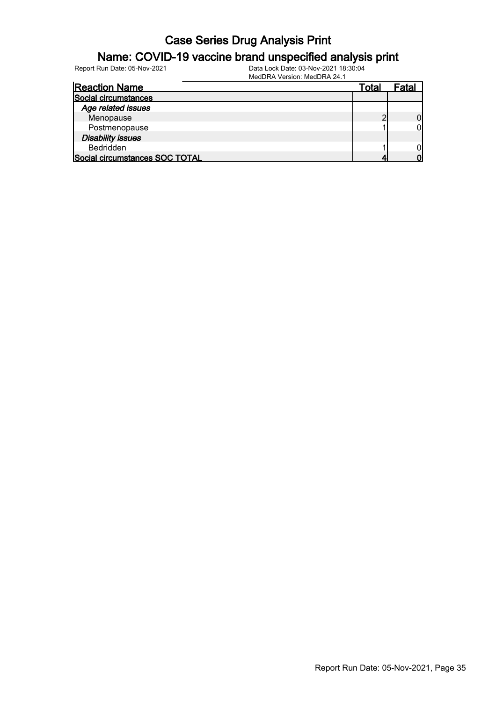### Name: COVID-19 vaccine brand unspecified analysis print

Report Run Date: 05-Nov-2021 Data Lock Date: 03-Nov-2021 18:30:04

MedDRA Version: MedDRA 24.1

| <b>Reaction Name</b>           | Total | Fatal |
|--------------------------------|-------|-------|
| Social circumstances           |       |       |
| Age related issues             |       |       |
| Menopause                      |       |       |
| Postmenopause                  |       |       |
| <b>Disability issues</b>       |       |       |
| <b>Bedridden</b>               |       |       |
| Social circumstances SOC TOTAL |       |       |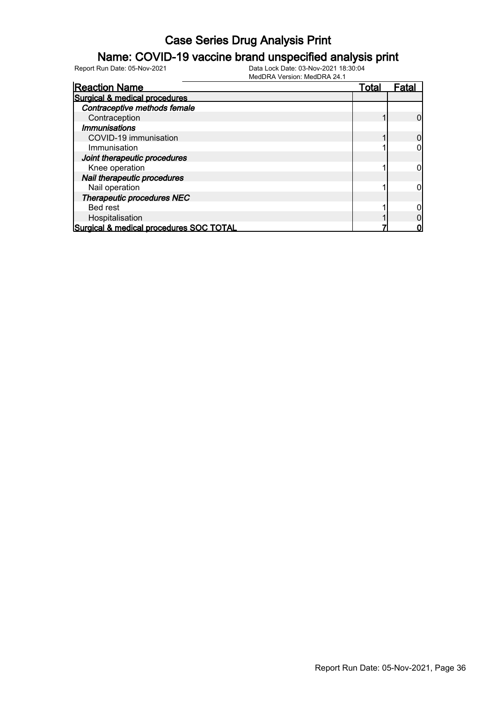### Name: COVID-19 vaccine brand unspecified analysis print

| <b>Reaction Name</b>                    | <b>Total</b> | Fata |
|-----------------------------------------|--------------|------|
| Surgical & medical procedures           |              |      |
| Contraceptive methods female            |              |      |
| Contraception                           |              |      |
| <i><b>Immunisations</b></i>             |              |      |
| COVID-19 immunisation                   |              |      |
| Immunisation                            |              |      |
| Joint therapeutic procedures            |              |      |
| Knee operation                          |              |      |
| Nail therapeutic procedures             |              |      |
| Nail operation                          |              |      |
| Therapeutic procedures NEC              |              |      |
| Bed rest                                |              |      |
| Hospitalisation                         |              |      |
| Surgical & medical procedures SOC TOTAL |              |      |